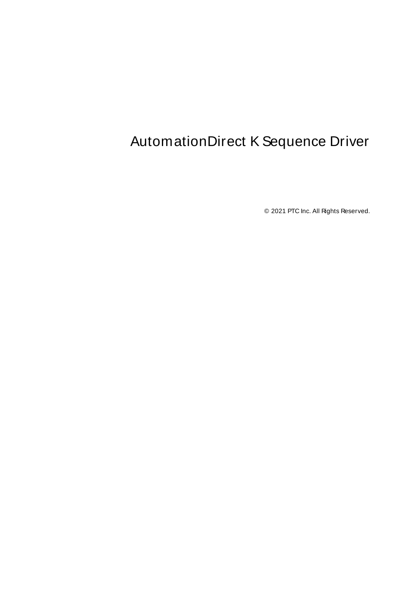# <span id="page-0-0"></span>AutomationDirect K Sequence Driver

© 2021 PTC Inc. All Rights Reserved.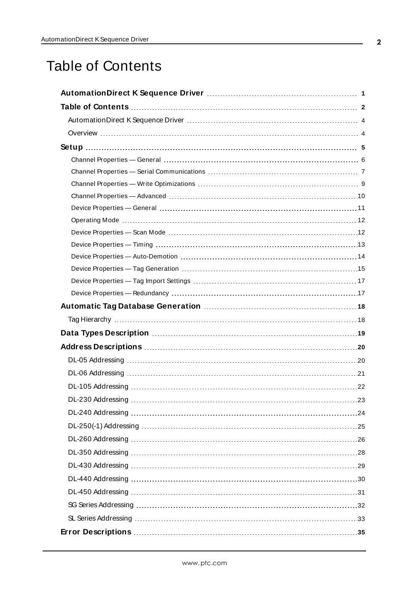# <span id="page-1-0"></span>Table of Contents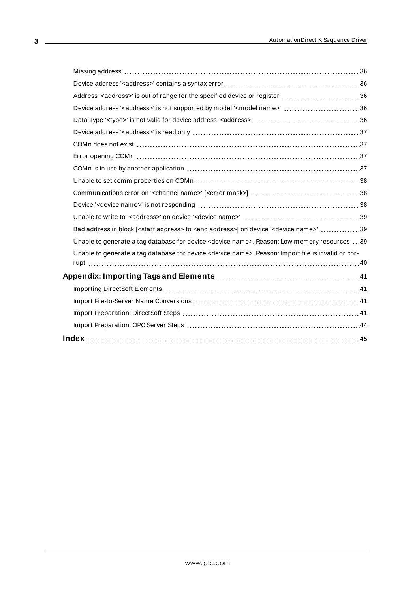| Address ' <address>' is out of range for the specified device or register  36</address>                               |  |
|-----------------------------------------------------------------------------------------------------------------------|--|
| Device address ' <address>' is not supported by model '<model name="">' 36</model></address>                          |  |
|                                                                                                                       |  |
|                                                                                                                       |  |
|                                                                                                                       |  |
|                                                                                                                       |  |
|                                                                                                                       |  |
|                                                                                                                       |  |
|                                                                                                                       |  |
|                                                                                                                       |  |
|                                                                                                                       |  |
| Bad address in block [ <start address=""> to <end address="">] on device '<device name="">' 39</device></end></start> |  |
| Unable to generate a tag database for device <device name="">. Reason: Low memory resources 39</device>               |  |
| Unable to generate a tag database for device <device name="">. Reason: Import file is invalid or cor-</device>        |  |
|                                                                                                                       |  |
|                                                                                                                       |  |
|                                                                                                                       |  |
|                                                                                                                       |  |
|                                                                                                                       |  |
|                                                                                                                       |  |
|                                                                                                                       |  |

<u> 1989 - Johann Barn, mars eta bainar e</u>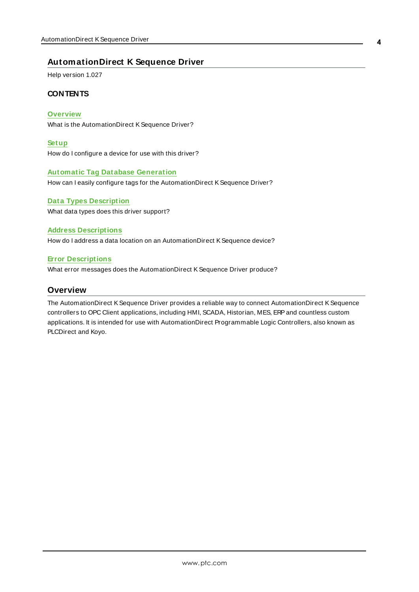# <span id="page-3-0"></span>**AutomationDirect K Sequence Driver**

Help version 1.027

### **CONTENTS**

#### **[Overview](#page-3-1)**

What is the AutomationDirect KSequence Driver?

#### **[Setup](#page-4-0)**

How do I configure a device for use with this driver?

#### **Automatic Tag Database [Generation](#page-17-0)**

How can I easily configure tags for the AutomationDirect KSequence Driver?

# **Data Types [Description](#page-18-0)** What data types does this driver support?

## **Address [Descriptions](#page-19-0)**

How do I address a data location on an AutomationDirect KSequence device?

## **Error [Descriptions](#page-34-0)**

<span id="page-3-1"></span>What error messages does the AutomationDirect KSequence Driver produce?

# **Overview**

The AutomationDirect KSequence Driver provides a reliable way to connect AutomationDirect KSequence controllers to OPC Client applications, including HMI, SCADA, Historian, MES, ERP and countless custom applications. It is intended for use with AutomationDirect Programmable Logic Controllers, also known as PLCDirect and Koyo.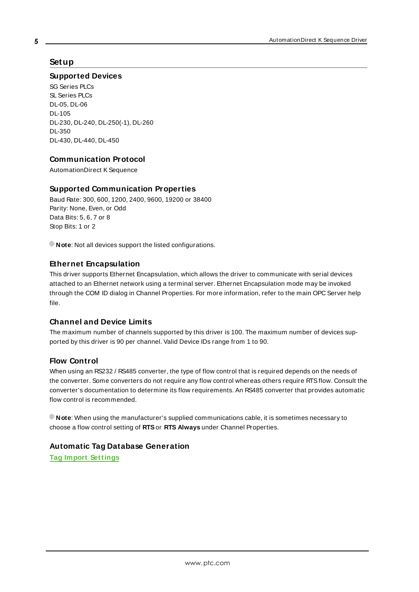# <span id="page-4-0"></span>**Setup**

#### **Supported Devices**

SG Series PLCs SL Series PLCs DL-05, DL-06 DL-105 DL-230, DL-240, DL-250(-1), DL-260 DL-350 DL-430, DL-440, DL-450

# **Communication Protocol**

AutomationDirect KSequence

## **Supported Communication Properties**

Baud Rate: 300, 600, 1200, 2400, 9600, 19200 or 38400 Parity: None, Even, or Odd Data Bits: 5, 6, 7 or 8 Stop Bits: 1 or 2

**Note:** Not all devices support the listed configurations.

## <span id="page-4-2"></span>**Ethernet Encapsulation**

This driver supports Ethernet Encapsulation, which allows the driver to communicate with serial devices attached to an Ethernet network using a terminal server. Ethernet Encapsulation mode may be invoked through the COM ID dialog in Channel Properties. For more information, refer to the main OPC Server help file.

### <span id="page-4-1"></span>**Channel and Device Limits**

The maximum number of channels supported by this driver is 100. The maximum number of devices supported by this driver is 90 per channel. Valid Device IDs range from 1 to 90.

### **Flow Control**

When using an RS232 / RS485 converter, the type of flow control that is required depends on the needs of the converter. Some converters do not require any flow control whereas others require RTSflow. Consult the converter's documentation to determine its flow requirements. An RS485 converter that provides automatic flow control is recommended.

**Note**: When using the manufacturer's supplied communications cable, it is sometimes necessary to choose a flow control setting of **RTS**or **RTS Always** under Channel Properties.

# **Automatic Tag Database Generation**

**Tag Import [Settings](#page-16-0)**

**5**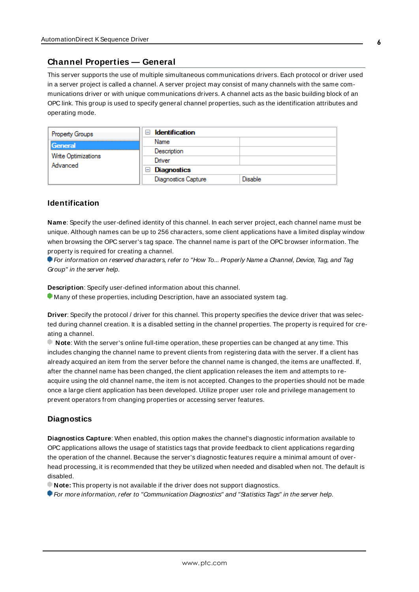# <span id="page-5-0"></span>**Channel Properties — General**

This server supports the use of multiple simultaneous communications drivers. Each protocol or driver used in a server project is called a channel. A server project may consist of many channels with the same communications driver or with unique communications drivers. A channel acts as the basic building block of an OPC link. This group is used to specify general channel properties, such as the identification attributes and operating mode.

| <b>Property Groups</b>          | <b>Identification</b><br>$\overline{ }$ |                |
|---------------------------------|-----------------------------------------|----------------|
| General                         | Name                                    |                |
| Write Optimizations<br>Advanced | Description                             |                |
|                                 | Driver                                  |                |
|                                 | $\Box$ Diagnostics                      |                |
|                                 | <b>Diagnostics Capture</b>              | <b>Disable</b> |

## **Identification**

**Name**: Specify the user-defined identity of this channel. In each server project, each channel name must be unique. Although names can be up to 256 characters, some client applications have a limited display window when browsing the OPC server's tag space. The channel name is part of the OPC browser information. The property is required for creating a channel.

For information on reserved characters, refer to "How To... Properly Name a Channel, Device, Tag, and Tag Group" in the server help.

**Description**: Specify user-defined information about this channel.

Many of these properties, including Description, have an associated system tag.

**Driver**: Specify the protocol / driver for this channel. This property specifies the device driver that was selected during channel creation. It is a disabled setting in the channel properties. The property is required for creating a channel.

**Note**: With the server's online full-time operation, these properties can be changed at any time. This includes changing the channel name to prevent clients from registering data with the server. If a client has already acquired an item from the server before the channel name is changed, the items are unaffected. If, after the channel name has been changed, the client application releases the item and attempts to reacquire using the old channel name, the item is not accepted. Changes to the properties should not be made once a large client application has been developed. Utilize proper user role and privilege management to prevent operators from changing properties or accessing server features.

### **Diagnostics**

**Diagnostics Capture**: When enabled, this option makes the channel's diagnostic information available to OPC applications allows the usage of statistics tags that provide feedback to client applications regarding the operation of the channel. Because the server's diagnostic features require a minimal amount of overhead processing, it is recommended that they be utilized when needed and disabled when not. The default is disabled.

**Note:** This property is not available if the driver does not support diagnostics.

**• For more information, refer to "Communication Diagnostics" and "Statistics Tags" in the server help.**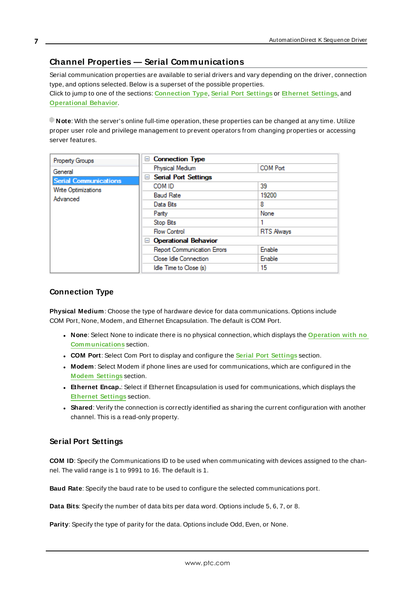# <span id="page-6-0"></span>**Channel Properties — Serial Communications**

Serial communication properties are available to serial drivers and vary depending on the driver, connection type, and options selected. Below is a superset of the possible properties. Click to jump to one of the sections: **[Connection](#page-6-1) Type**, **Serial Port [Settings](#page-6-2)** or **[Ethernet](#page-7-0) Settings**, and **[Operational](#page-7-1) Behavior**.

**Note**: With the server's online full-time operation, these properties can be changed at any time. Utilize proper user role and privilege management to prevent operators from changing properties or accessing server features.

| Property Groups              | $\Box$ Connection Type             |                   |
|------------------------------|------------------------------------|-------------------|
| General                      | Physical Medium                    | <b>COM Port</b>   |
| <b>Serial Communications</b> | <b>Serial Port Settings</b><br>$=$ |                   |
| Write Optimizations          | COM ID                             | 39                |
| Advanced                     | <b>Baud Rate</b>                   | 19200             |
|                              | Data Bits                          | 8                 |
|                              | Parity                             | None              |
|                              | Stop Bits                          |                   |
|                              | <b>Flow Control</b>                | <b>RTS Always</b> |
|                              | □ Operational Behavior             |                   |
|                              | Report Communication Errors        | Enable            |
|                              | Close Idle Connection              | <b>Enable</b>     |
|                              | Idle Time to Close (s)             | 15                |

# <span id="page-6-1"></span>**Connection Type**

**Physical Medium**: Choose the type of hardware device for data communications. Options include COM Port, None, Modem, and Ethernet Encapsulation. The default is COM Port.

- <sup>l</sup> **None**: Select None to indicate there is no physical connection, which displays the **[Operation](#page-8-1) with no [Communications](#page-8-1)** section.
- <sup>l</sup> **COM Port**: Select Com Port to display and configure the **Serial Port [Settings](#page-6-2)** section.
- **Modem**: Select Modem if phone lines are used for communications, which are configured in the **Modem [Settings](#page-8-2)** section.
- **Ethernet Encap.**: Select if Ethernet Encapsulation is used for communications, which displays the **[Ethernet](#page-7-0) Settings** section.
- **Shared**: Verify the connection is correctly identified as sharing the current configuration with another channel. This is a read-only property.

# <span id="page-6-2"></span>**Serial Port Settings**

**COM ID**: Specify the Communications ID to be used when communicating with devices assigned to the channel. The valid range is 1 to 9991 to 16. The default is 1.

**Baud Rate**: Specify the baud rate to be used to configure the selected communications port.

**Data Bits**: Specify the number of data bits per data word. Options include 5, 6, 7, or 8.

**Parity**: Specify the type of parity for the data. Options include Odd, Even, or None.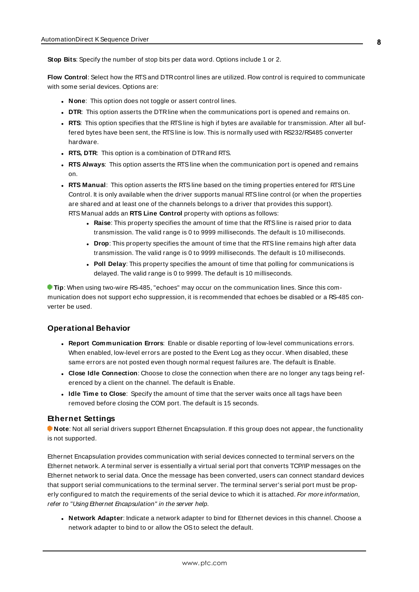**Stop Bits**: Specify the number of stop bits per data word. Options include 1 or 2.

**Flow Control**: Select how the RTSand DTRcontrol lines are utilized. Flow control is required to communicate with some serial devices. Options are:

- **None:** This option does not toggle or assert control lines.
- **DTR:** This option asserts the DTR line when the communications port is opened and remains on.
- **RTS:** This option specifies that the RTS line is high if bytes are available for transmission. After all buffered bytes have been sent, the RTSline is low. This is normally used with RS232/RS485 converter hardware.
- **RTS, DTR:** This option is a combination of DTR and RTS.
- <sup>l</sup> **RTS Always**: This option asserts the RTSline when the communication port is opened and remains on.
- <sup>l</sup> **RTS Manual**: This option asserts the RTSline based on the timing properties entered for RTSLine Control. It is only available when the driver supports manual RTSline control (or when the properties are shared and at least one of the channels belongs to a driver that provides this support). RTS Manual adds an **RTS Line Control** property with options as follows:
	- **Raise**: This property specifies the amount of time that the RTS line is raised prior to data transmission. The valid range is 0 to 9999 milliseconds. The default is 10 milliseconds.
	- **Drop**: This property specifies the amount of time that the RTS line remains high after data transmission. The valid range is 0 to 9999 milliseconds. The default is 10 milliseconds.
	- **Poll Delay**: This property specifies the amount of time that polling for communications is delayed. The valid range is 0 to 9999. The default is 10 milliseconds.

**Tip**: When using two-wire RS-485, "echoes" may occur on the communication lines. Since this communication does not support echo suppression, it is recommended that echoes be disabled or a RS-485 converter be used.

### <span id="page-7-1"></span>**Operational Behavior**

- <sup>l</sup> **Report Communication Errors**: Enable or disable reporting of low-level communications errors. When enabled, low-level errors are posted to the Event Log as they occur. When disabled, these same errors are not posted even though normal request failures are. The default is Enable.
- <sup>l</sup> **Close Idle Connection**: Choose to close the connection when there are no longer any tags being referenced by a client on the channel. The default is Enable.
- **.** Idle Time to Close: Specify the amount of time that the server waits once all tags have been removed before closing the COM port. The default is 15 seconds.

#### <span id="page-7-0"></span>**Ethernet Settings**

**Note**: Not all serial drivers support Ethernet Encapsulation. If this group does not appear, the functionality is not supported.

Ethernet Encapsulation provides communication with serial devices connected to terminal servers on the Ethernet network. A terminal server is essentially a virtual serial port that converts TCP/IP messages on the Ethernet network to serial data. Once the message has been converted, users can connect standard devices that support serial communications to the terminal server. The terminal server's serial port must be properly configured to match the requirements of the serial device to which it is attached. For more information, refer to "Using Ethernet Encapsulation" in the server help.

<sup>l</sup> **Network Adapter**: Indicate a network adapter to bind for Ethernet devices in this channel. Choose a network adapter to bind to or allow the OSto select the default.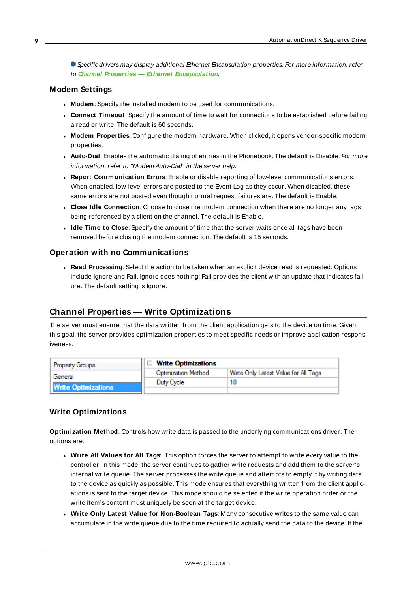Specific drivers may display additional Ethernet Encapsulation properties. For more information, refer to **Channel Properties — Ethernet Encapsulation**.

### <span id="page-8-2"></span>**Modem Settings**

- **Modem**: Specify the installed modem to be used for communications.
- **Connect Timeout**: Specify the amount of time to wait for connections to be established before failing a read or write. The default is 60 seconds.
- <sup>l</sup> **Modem Properties**: Configure the modem hardware. When clicked, it opens vendor-specific modem properties.
- **Auto-Dial**: Enables the automatic dialing of entries in the Phonebook. The default is Disable. For more information, refer to "Modem Auto-Dial" in the server help.
- <sup>l</sup> **Report Communication Errors**: Enable or disable reporting of low-level communications errors. When enabled, low-level errors are posted to the Event Log as they occur. When disabled, these same errors are not posted even though normal request failures are. The default is Enable.
- <sup>l</sup> **Close Idle Connection**: Choose to close the modem connection when there are no longer any tags being referenced by a client on the channel. The default is Enable.
- <sup>l</sup> **Idle Time to Close**: Specify the amount of time that the server waits once all tags have been removed before closing the modem connection. The default is 15 seconds.

#### <span id="page-8-1"></span>**Operation with no Communications**

**Read Processing**: Select the action to be taken when an explicit device read is requested. Options include Ignore and Fail. Ignore does nothing; Fail provides the client with an update that indicates failure. The default setting is Ignore.

### <span id="page-8-0"></span>**Channel Properties — Write Optimizations**

The server must ensure that the data written from the client application gets to the device on time. Given this goal, the server provides optimization properties to meet specific needs or improve application responsiveness.

| <b>Property Groups</b>     | $\Box$ Write Optimizations |                                      |
|----------------------------|----------------------------|--------------------------------------|
| General                    | Optimization Method        | Write Only Latest Value for All Tags |
|                            | Duty Cycle                 |                                      |
| <b>Write Optimizations</b> |                            |                                      |

#### **Write Optimizations**

**Optimization Method**: Controls how write data is passed to the underlying communications driver. The options are:

- <sup>l</sup> **Write All Values for All Tags**: This option forces the server to attempt to write every value to the controller. In this mode, the server continues to gather write requests and add them to the server's internal write queue. The server processes the write queue and attempts to empty it by writing data to the device as quickly as possible. This mode ensures that everything written from the client applications is sent to the target device. This mode should be selected if the write operation order or the write item's content must uniquely be seen at the target device.
- <sup>l</sup> **Write Only Latest Value for Non-Boolean Tags**: Many consecutive writes to the same value can accumulate in the write queue due to the time required to actually send the data to the device. If the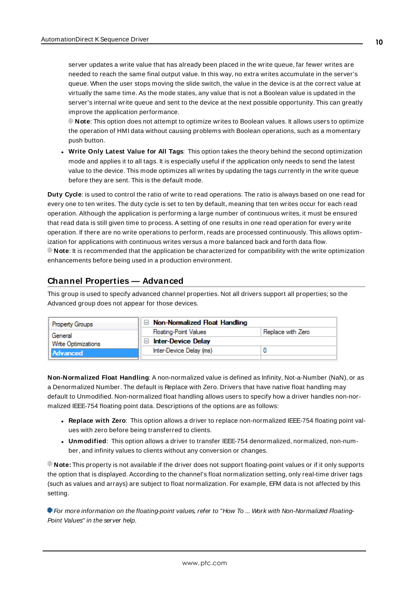server updates a write value that has already been placed in the write queue, far fewer writes are needed to reach the same final output value. In this way, no extra writes accumulate in the server's queue. When the user stops moving the slide switch, the value in the device is at the correct value at virtually the same time. As the mode states, any value that is not a Boolean value is updated in the server's internal write queue and sent to the device at the next possible opportunity. This can greatly improve the application performance.

**Note**: This option does not attempt to optimize writes to Boolean values. It allows users to optimize the operation of HMI data without causing problems with Boolean operations, such as a momentary push button.

**• Write Only Latest Value for All Tags**: This option takes the theory behind the second optimization mode and applies it to all tags. It is especially useful if the application only needs to send the latest value to the device. This mode optimizes all writes by updating the tags currently in the write queue before they are sent. This is the default mode.

**Duty Cycle**: is used to control the ratio of write to read operations. The ratio is always based on one read for every one to ten writes. The duty cycle is set to ten by default, meaning that ten writes occur for each read operation. Although the application is performing a large number of continuous writes, it must be ensured that read data is still given time to process. A setting of one results in one read operation for every write operation. If there are no write operations to perform, reads are processed continuously. This allows optimization for applications with continuous writes versus a more balanced back and forth data flow. **Note**: It is recommended that the application be characterized for compatibility with the write optimization enhancements before being used in a production environment.

# <span id="page-9-0"></span>**Channel Properties — Advanced**

This group is used to specify advanced channel properties. Not all drivers support all properties; so the Advanced group does not appear for those devices.

| <b>Property Groups</b>     | $\Box$ Non-Normalized Float Handling |                   |
|----------------------------|--------------------------------------|-------------------|
| General                    | <b>Floating-Point Values</b>         | Replace with Zero |
| <b>Write Optimizations</b> | <b>Inter-Device Delay</b>            |                   |
| <b>Advanced</b>            | Inter-Device Delay (ms)              |                   |
|                            |                                      |                   |

**Non-Normalized Float Handling**: A non-normalized value is defined as Infinity, Not-a-Number (NaN), or as a Denormalized Number. The default is Replace with Zero. Drivers that have native float handling may default to Unmodified. Non-normalized float handling allows users to specify how a driver handles non-normalized IEEE-754 floating point data. Descriptions of the options are as follows:

- <sup>l</sup> **Replace with Zero**: This option allows a driver to replace non-normalized IEEE-754 floating point values with zero before being transferred to clients.
- <sup>l</sup> **Unmodified**: This option allows a driver to transfer IEEE-754 denormalized, normalized, non-number, and infinity values to clients without any conversion or changes.

**Note:** This property is not available if the driver does not support floating-point values or if it only supports the option that is displayed. According to the channel's float normalization setting, only real-time driver tags (such as values and arrays) are subject to float normalization. For example, EFM data is not affected by this setting.

For more information on the floating-point values, refer to "How To ... Work with Non-Normalized Floating-Point Values" in the server help.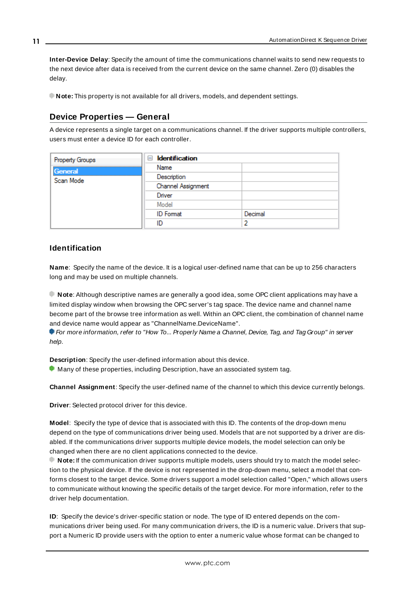**Inter-Device Delay**: Specify the amount of time the communications channel waits to send new requests to the next device after data is received from the current device on the same channel. Zero (0) disables the delay.

<span id="page-10-0"></span>**Note:** This property is not available for all drivers, models, and dependent settings.

# **Device Properties — General**

A device represents a single target on a communications channel. If the driver supports multiple controllers, users must enter a device ID for each controller.

| <b>Property Groups</b> | $\Box$ Identification |         |
|------------------------|-----------------------|---------|
| General                | Name                  |         |
| Scan Mode              | Description           |         |
|                        | Channel Assignment    |         |
|                        | Driver                |         |
|                        | Model                 |         |
|                        | <b>ID</b> Format      | Decimal |
|                        | ID                    |         |

# <span id="page-10-4"></span>**Identification**

**Name**: Specify the name of the device. It is a logical user-defined name that can be up to 256 characters long and may be used on multiple channels.

**Note**: Although descriptive names are generally a good idea, some OPC client applications may have a limited display window when browsing the OPC server's tag space. The device name and channel name become part of the browse tree information as well. Within an OPC client, the combination of channel name and device name would appear as "ChannelName.DeviceName".

For more information, refer to "How To... Properly Name a Channel, Device, Tag, and Tag Group" in server help.

**Description**: Specify the user-defined information about this device.

<span id="page-10-1"></span> $\bullet$  Many of these properties, including Description, have an associated system tag.

<span id="page-10-2"></span>**Channel Assignment**: Specify the user-defined name of the channel to which this device currently belongs.

<span id="page-10-3"></span>**Driver**: Selected protocol driver for this device.

**Model**: Specify the type of device that is associated with this ID. The contents of the drop-down menu depend on the type of communications driver being used. Models that are not supported by a driver are disabled. If the communications driver supports multiple device models, the model selection can only be changed when there are no client applications connected to the device.

**Note:** If the communication driver supports multiple models, users should try to match the model selection to the physical device. If the device is not represented in the drop-down menu, select a model that conforms closest to the target device. Some drivers support a model selection called "Open," which allows users to communicate without knowing the specific details of the target device. For more information, refer to the driver help documentation.

**ID**: Specify the device's driver-specific station or node. The type of ID entered depends on the communications driver being used. For many communication drivers, the ID is a numeric value. Drivers that support a Numeric ID provide users with the option to enter a numeric value whose format can be changed to

**11**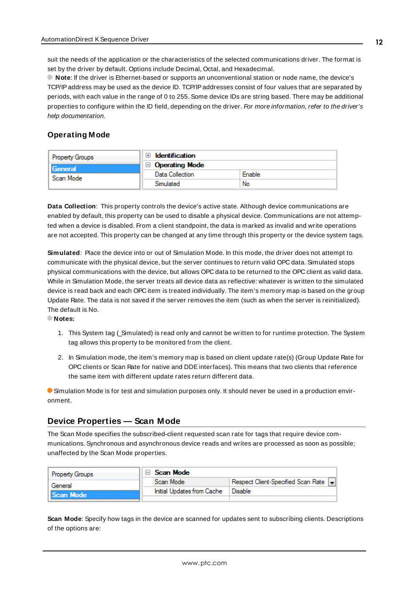<span id="page-11-3"></span>suit the needs of the application or the characteristics of the selected communications driver. The format is set by the driver by default. Options include Decimal, Octal, and Hexadecimal.

**Note**: If the driver is Ethernet-based or supports an unconventional station or node name, the device's TCP/IPaddress may be used as the device ID. TCP/IPaddresses consist of four values that are separated by periods, with each value in the range of 0 to 255. Some device IDs are string based. There may be additional properties to configure within the ID field, depending on the driver. For more information, refer to the driver's help documentation.

# <span id="page-11-0"></span>**Operating Mode**

| <b>Property Groups</b>      | <b>Identification</b> |        |
|-----------------------------|-----------------------|--------|
| <b>General</b><br>Scan Mode | <b>Operating Mode</b> |        |
|                             | Data Collection       | Enable |
|                             | Simulated             | No     |

<span id="page-11-2"></span>**Data Collection**: This property controls the device's active state. Although device communications are enabled by default, this property can be used to disable a physical device. Communications are not attempted when a device is disabled. From a client standpoint, the data is marked as invalid and write operations are not accepted. This property can be changed at any time through this property or the device system tags.

<span id="page-11-5"></span>**Simulated**: Place the device into or out of Simulation Mode. In this mode, the driver does not attempt to communicate with the physical device, but the server continues to return valid OPC data. Simulated stops physical communications with the device, but allows OPC data to be returned to the OPC client as valid data. While in Simulation Mode, the server treats all device data as reflective: whatever is written to the simulated device is read back and each OPC item is treated individually. The item's memory map is based on the group Update Rate. The data is not saved if the server removes the item (such as when the server is reinitialized). The default is No.

**Notes:**

- 1. This System tag (\_Simulated) is read only and cannot be written to for runtime protection. The System tag allows this property to be monitored from the client.
- 2. In Simulation mode, the item's memory map is based on client update rate(s) (Group Update Rate for OPC clients or Scan Rate for native and DDEinterfaces). This means that two clients that reference the same item with different update rates return different data.

 Simulation Mode is for test and simulation purposes only. It should never be used in a production environment.

# <span id="page-11-1"></span>**Device Properties — Scan Mode**

The Scan Mode specifies the subscribed-client requested scan rate for tags that require device communications. Synchronous and asynchronous device reads and writes are processed as soon as possible; unaffected by the Scan Mode properties.

| <b>Property Groups</b> | ⊟ Scan Mode                |                                       |
|------------------------|----------------------------|---------------------------------------|
| General                | Scan Mode                  | Respect Client-Specified Scan Rate  - |
| Scan Mode              | Initial Updates from Cache | Disable                               |
|                        |                            |                                       |

<span id="page-11-4"></span>**Scan Mode**: Specify how tags in the device are scanned for updates sent to subscribing clients. Descriptions of the options are: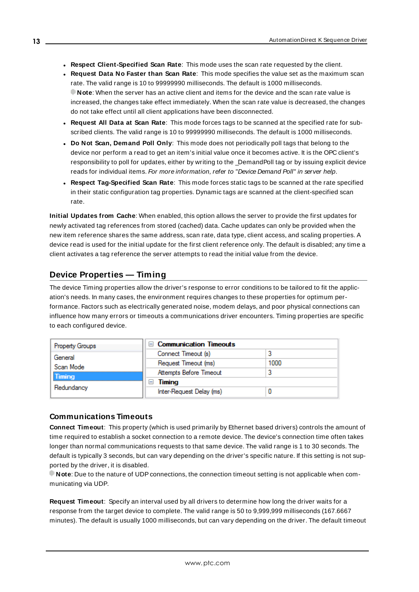- <sup>l</sup> **Respect Client-Specified Scan Rate**: This mode uses the scan rate requested by the client.
- <sup>l</sup> **Request Data No Faster than Scan Rate**: This mode specifies the value set as the maximum scan rate. The valid range is 10 to 99999990 milliseconds. The default is 1000 milliseconds. **Note**: When the server has an active client and items for the device and the scan rate value is increased, the changes take effect immediately. When the scan rate value is decreased, the changes do not take effect until all client applications have been disconnected.
- <sup>l</sup> **Request All Data at Scan Rate**: This mode forces tags to be scanned at the specified rate for subscribed clients. The valid range is 10 to 99999990 milliseconds. The default is 1000 milliseconds.
- <span id="page-12-3"></span><sup>l</sup> **Do Not Scan, Demand Poll Only**: This mode does not periodically poll tags that belong to the device nor perform a read to get an item's initial value once it becomes active. It is the OPC client's responsibility to poll for updates, either by writing to the \_DemandPoll tag or by issuing explicit device reads for individual items. For more information, refer to "Device Demand Poll" in server help.
- <span id="page-12-5"></span><sup>l</sup> **Respect Tag-Specified Scan Rate**: This mode forces static tags to be scanned at the rate specified in their static configuration tag properties. Dynamic tags are scanned at the client-specified scan rate.

<span id="page-12-4"></span>**Initial Updates from Cache**: When enabled, this option allows the server to provide the first updates for newly activated tag references from stored (cached) data. Cache updates can only be provided when the new item reference shares the same address, scan rate, data type, client access, and scaling properties. A device read is used for the initial update for the first client reference only. The default is disabled; any time a client activates a tag reference the server attempts to read the initial value from the device.

# <span id="page-12-1"></span><span id="page-12-0"></span>**Device Properties — Timing**

The device Timing properties allow the driver's response to error conditions to be tailored to fit the application's needs. In many cases, the environment requires changes to these properties for optimum performance. Factors such as electrically generated noise, modem delays, and poor physical connections can influence how many errors or timeouts a communications driver encounters. Timing properties are specific to each configured device.

| <b>Property Groups</b> | <b>Communication Timeouts</b><br>$\overline{}$ |      |
|------------------------|------------------------------------------------|------|
| General                | Connect Timeout (s)                            |      |
| Scan Mode              | Request Timeout (ms)                           | 1000 |
| <b>Timing</b>          | Attempts Before Timeout                        |      |
| Redundancy             | Timing<br>-                                    |      |
|                        | Inter-Request Delay (ms)                       |      |

### <span id="page-12-2"></span>**Communications Timeouts**

**Connect Timeout**: This property (which is used primarily by Ethernet based drivers) controls the amount of time required to establish a socket connection to a remote device. The device's connection time often takes longer than normal communications requests to that same device. The valid range is 1 to 30 seconds. The default is typically 3 seconds, but can vary depending on the driver's specific nature. If this setting is not supported by the driver, it is disabled.

**Note**: Due to the nature of UDPconnections, the connection timeout setting is not applicable when communicating via UDP.

**Request Timeout**: Specify an interval used by all drivers to determine how long the driver waits for a response from the target device to complete. The valid range is 50 to 9,999,999 milliseconds (167.6667 minutes). The default is usually 1000 milliseconds, but can vary depending on the driver. The default timeout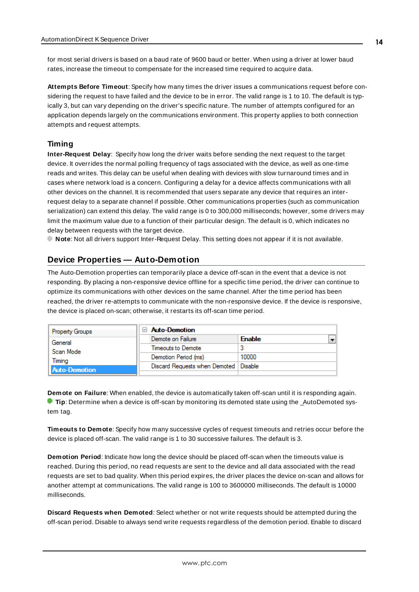<span id="page-13-5"></span>for most serial drivers is based on a baud rate of 9600 baud or better. When using a driver at lower baud rates, increase the timeout to compensate for the increased time required to acquire data.

<span id="page-13-1"></span>**Attempts Before Timeout**: Specify how many times the driver issues a communications request before considering the request to have failed and the device to be in error. The valid range is 1 to 10. The default is typically 3, but can vary depending on the driver's specific nature. The number of attempts configured for an application depends largely on the communications environment. This property applies to both connection attempts and request attempts.

### <span id="page-13-4"></span>**Timing**

**Inter-Request Delay**: Specify how long the driver waits before sending the next request to the target device. It overrides the normal polling frequency of tags associated with the device, as well as one-time reads and writes. This delay can be useful when dealing with devices with slow turnaround times and in cases where network load is a concern. Configuring a delay for a device affects communications with all other devices on the channel. It is recommended that users separate any device that requires an interrequest delay to a separate channel if possible. Other communications properties (such as communication serialization) can extend this delay. The valid range is 0 to 300,000 milliseconds; however, some drivers may limit the maximum value due to a function of their particular design. The default is 0, which indicates no delay between requests with the target device.

<span id="page-13-0"></span>**Note**: Not all drivers support Inter-Request Delay. This setting does not appear if it is not available.

# **Device Properties — Auto-Demotion**

The Auto-Demotion properties can temporarily place a device off-scan in the event that a device is not responding. By placing a non-responsive device offline for a specific time period, the driver can continue to optimize its communications with other devices on the same channel. After the time period has been reached, the driver re-attempts to communicate with the non-responsive device. If the device is responsive, the device is placed on-scan; otherwise, it restarts its off-scan time period.

| <b>Property Groups</b> | <b>Auto-Demotion</b>                    |                                           |
|------------------------|-----------------------------------------|-------------------------------------------|
| General                | Demote on Failure                       | $\overline{\phantom{0}}$<br><b>Enable</b> |
| Scan Mode              | Timeouts to Demote                      |                                           |
| Timina                 | Demotion Period (ms)                    | 10000                                     |
| Auto-Demotion          | Discard Requests when Demoted   Disable |                                           |
|                        |                                         |                                           |

<span id="page-13-2"></span>**Demote on Failure**: When enabled, the device is automatically taken off-scan until it is responding again. **Tip:** Determine when a device is off-scan by monitoring its demoted state using the \_AutoDemoted system tag.

<span id="page-13-6"></span>**Timeouts to Demote**: Specify how many successive cycles of request timeouts and retries occur before the device is placed off-scan. The valid range is 1 to 30 successive failures. The default is 3.

<span id="page-13-3"></span>**Demotion Period**: Indicate how long the device should be placed off-scan when the timeouts value is reached. During this period, no read requests are sent to the device and all data associated with the read requests are set to bad quality. When this period expires, the driver places the device on-scan and allows for another attempt at communications. The valid range is 100 to 3600000 milliseconds. The default is 10000 milliseconds.

**Discard Requests when Demoted**: Select whether or not write requests should be attempted during the off-scan period. Disable to always send write requests regardless of the demotion period. Enable to discard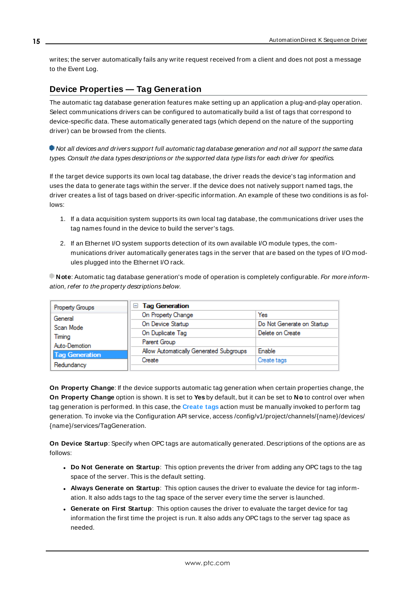<span id="page-14-1"></span>writes; the server automatically fails any write request received from a client and does not post a message to the Event Log.

# <span id="page-14-0"></span>**Device Properties — Tag Generation**

The automatic tag database generation features make setting up an application a plug-and-play operation. Select communications drivers can be configured to automatically build a list of tags that correspond to device-specific data. These automatically generated tags (which depend on the nature of the supporting driver) can be browsed from the clients.

Not all devices and drivers support full automatic tag database generation and not all support the same data types. Consult the data types descriptions or the supported data type lists for each driver for specifics.

If the target device supports its own local tag database, the driver reads the device's tag information and uses the data to generate tags within the server. If the device does not natively support named tags, the driver creates a list of tags based on driver-specific information. An example of these two conditions is as follows:

- 1. If a data acquisition system supports its own local tag database, the communications driver uses the tag names found in the device to build the server's tags.
- 2. If an Ethernet I/O system supports detection of its own available I/O module types, the communications driver automatically generates tags in the server that are based on the types of I/O modules plugged into the Ethernet I/O rack.

**Note**: Automatic tag database generation's mode of operation is completely configurable. For more information, refer to the property descriptions below.

| Property Groups       | <b>Tag Generation</b>                   |                            |
|-----------------------|-----------------------------------------|----------------------------|
| General               | On Property Change                      | Yes                        |
| Scan Mode             | On Device Startup                       | Do Not Generate on Startup |
| Timina                | On Duplicate Tag                        | Delete on Create           |
| Auto-Demotion         | Parent Group                            |                            |
| <b>Tag Generation</b> | Allow Automatically Generated Subgroups | <b>Enable</b>              |
|                       | Create                                  | Create tags                |
| Redundancy            |                                         |                            |

<span id="page-14-4"></span>**On Property Change**: If the device supports automatic tag generation when certain properties change, the **On Property Change** option is shown. It is set to **Yes** by default, but it can be set to **No** to control over when tag generation is performed. In this case, the **Create tags** action must be manually invoked to perform tag generation. To invoke via the Configuration API service, access /config/v1/project/channels/{name}/devices/ {name}/services/TagGeneration.

<span id="page-14-3"></span>**On Device Startup**: Specify when OPC tags are automatically generated. Descriptions of the options are as follows:

- <span id="page-14-2"></span><sup>l</sup> **Do Not Generate on Startup**: This option prevents the driver from adding any OPC tags to the tag space of the server. This is the default setting.
- <sup>l</sup> **Always Generate on Startup**: This option causes the driver to evaluate the device for tag information. It also adds tags to the tag space of the server every time the server is launched.
- <sup>l</sup> **Generate on First Startup**: This option causes the driver to evaluate the target device for tag information the first time the project is run. It also adds any OPC tags to the server tag space as needed.

**15**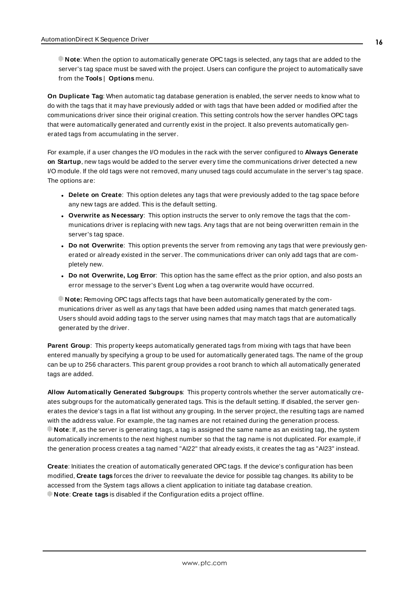**Note**: When the option to automatically generate OPC tags is selected, any tags that are added to the server's tag space must be saved with the project. Users can configure the project to automatically save from the **Tools** | **Options** menu.

<span id="page-15-3"></span>**On Duplicate Tag**: When automatic tag database generation is enabled, the server needs to know what to do with the tags that it may have previously added or with tags that have been added or modified after the communications driver since their original creation. This setting controls how the server handles OPC tags that were automatically generated and currently exist in the project. It also prevents automatically generated tags from accumulating in the server.

For example, if a user changes the I/O modules in the rack with the server configured to **Always Generate on Startup**, new tags would be added to the server every time the communications driver detected a new I/O module. If the old tags were not removed, many unused tags could accumulate in the server's tag space. The options are:

- <span id="page-15-4"></span><span id="page-15-2"></span>**• Delete on Create**: This option deletes any tags that were previously added to the tag space before any new tags are added. This is the default setting.
- <sup>l</sup> **Overwrite as Necessary**: This option instructs the server to only remove the tags that the communications driver is replacing with new tags. Any tags that are not being overwritten remain in the server's tag space.
- <sup>l</sup> **Do not Overwrite**: This option prevents the server from removing any tags that were previously generated or already existed in the server. The communications driver can only add tags that are completely new.
- <sup>l</sup> **Do not Overwrite, Log Error**: This option has the same effect as the prior option, and also posts an error message to the server's Event Log when a tag overwrite would have occurred.

**Note:** Removing OPC tags affects tags that have been automatically generated by the communications driver as well as any tags that have been added using names that match generated tags. Users should avoid adding tags to the server using names that may match tags that are automatically generated by the driver.

<span id="page-15-5"></span>**Parent Group**: This property keeps automatically generated tags from mixing with tags that have been entered manually by specifying a group to be used for automatically generated tags. The name of the group can be up to 256 characters. This parent group provides a root branch to which all automatically generated tags are added.

<span id="page-15-0"></span>**Allow Automatically Generated Subgroups**: This property controls whether the server automatically creates subgroups for the automatically generated tags. This is the default setting. If disabled, the server generates the device's tags in a flat list without any grouping. In the server project, the resulting tags are named with the address value. For example, the tag names are not retained during the generation process. **Note**: If, as the server is generating tags, a tag is assigned the same name as an existing tag, the system automatically increments to the next highest number so that the tag name is not duplicated. For example, if the generation process creates a tag named "AI22" that already exists, it creates the tag as "AI23" instead.

<span id="page-15-1"></span>**Create**: Initiates the creation of automatically generated OPC tags. If the device's configuration has been modified, **Create tags** forces the driver to reevaluate the device for possible tag changes. Its ability to be accessed from the System tags allows a client application to initiate tag database creation. **Note**: **Create tags** is disabled if the Configuration edits a project offline.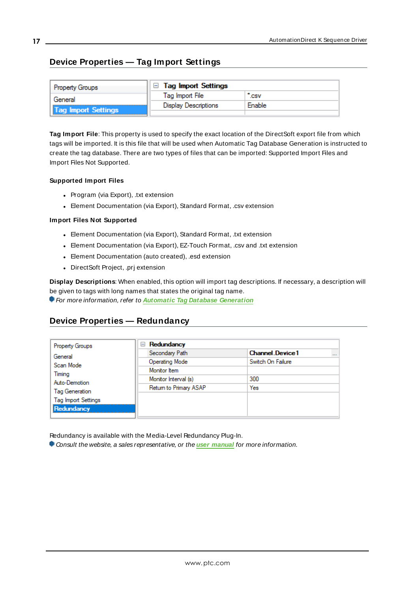# <span id="page-16-0"></span>**Device Properties — Tag Import Settings**

| <b>Property Groups</b> | $\Box$ Tag Import Settings  |                 |  |
|------------------------|-----------------------------|-----------------|--|
| General                | Tag Import File             | $\mathsf{c}$ sv |  |
| Tag Import Settings    | <b>Display Descriptions</b> | Enable          |  |
|                        |                             |                 |  |

**Tag Import File**: This property is used to specify the exact location of the DirectSoft export file from which tags will be imported. It is this file that will be used when Automatic Tag Database Generation is instructed to create the tag database. There are two types of files that can be imported: Supported Import Files and Import Files Not Supported.

#### **Supported Import Files**

- <span id="page-16-2"></span>• Program (via Export), .txt extension
- Element Documentation (via Export), Standard Format, .csv extension

#### **Import Files Not Supported**

- Element Documentation (via Export), Standard Format, .txt extension
- Element Documentation (via Export), EZ-Touch Format, .csv and .txt extension
- Element Documentation (auto created), .esd extension
- DirectSoft Project, .prj extension

**Display Descriptions**: When enabled, this option will import tag descriptions. If necessary, a description will be given to tags with long names that states the original tag name.

<span id="page-16-1"></span>For more information, refer to **Automatic Tag Database [Generation](#page-17-0)**

# **Device Properties — Redundancy**

| <b>Property Groups</b>     | Redundancy<br>$=$      |                                    |  |  |
|----------------------------|------------------------|------------------------------------|--|--|
| General                    | Secondary Path         | <b>Channel Device1</b><br>$\cdots$ |  |  |
| Scan Mode                  | Operating Mode         | Switch On Failure                  |  |  |
| Timing                     | Monitor Item           |                                    |  |  |
| Auto-Demotion              | Monitor Interval (s)   | 300                                |  |  |
| Tag Generation             | Return to Primary ASAP | Yes                                |  |  |
| <b>Tag Import Settings</b> |                        |                                    |  |  |
| Redundancy                 |                        |                                    |  |  |
|                            |                        |                                    |  |  |

Redundancy is available with the Media-Level Redundancy Plug-In.

Consult the website, a sales representative, or the **user [manual](https://www.kepware.com/getattachment/35461efd-b53a-4219-a109-a89fad20b230/media-level-redundancy-manual.pdf)** for more information.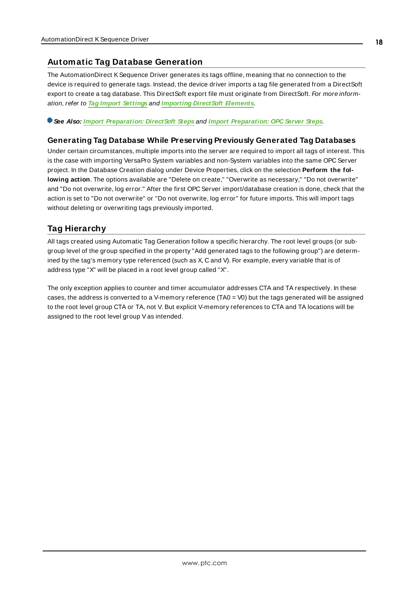# <span id="page-17-0"></span>**Automatic Tag Database Generation**

The AutomationDirect KSequence Driver generates its tags offline, meaning that no connection to the device is required to generate tags. Instead, the device driver imports a tag file generated from a DirectSoft export to create a tag database. This DirectSoft export file must originate from DirectSoft. For more information, refer to **Tag Import [Settings](#page-16-0)** and **[Importing](#page-40-1) DirectSoft Elements**.

**See Also: Import [Preparation:](#page-40-3) DirectSoft Steps** and **Import [Preparation:](#page-43-0) OPC Server Steps**.

#### **Generating Tag Database While Preserving Previously Generated Tag Databases**

Under certain circumstances, multiple imports into the server are required to import all tags of interest. This is the case with importing VersaPro System variables and non-System variables into the same OPC Server project. In the Database Creation dialog under Device Properties, click on the selection **Perform the following action**. The options available are "Delete on create," "Overwrite as necessary," "Do not overwrite" and "Do not overwrite, log error." After the first OPC Server import/database creation is done, check that the action is set to "Do not overwrite" or "Do not overwrite, log error" for future imports. This will import tags without deleting or overwriting tags previously imported.

# <span id="page-17-1"></span>**Tag Hierarchy**

All tags created using Automatic Tag Generation follow a specific hierarchy. The root level groups (or subgroup level of the group specified in the property "Add generated tags to the following group") are determined by the tag's memory type referenced (such as X, C and V). For example, every variable that is of address type "X" will be placed in a root level group called "X".

The only exception applies to counter and timer accumulator addresses CTA and TA respectively. In these cases, the address is converted to a V-memory reference (TA0 = V0) but the tags generated will be assigned to the root level group CTA or TA, not V. But explicit V-memory references to CTA and TA locations will be assigned to the root level group Vas intended.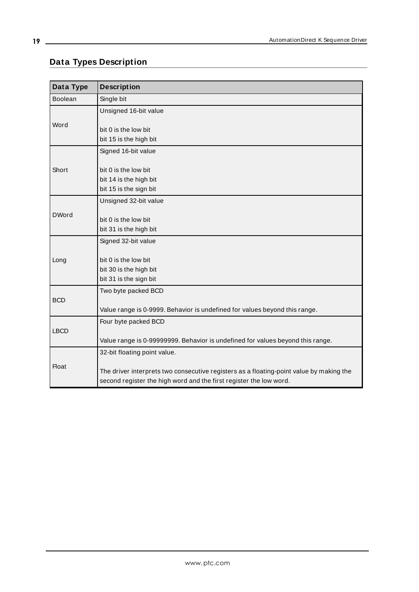# <span id="page-18-0"></span>**Data Types Description**

<span id="page-18-8"></span><span id="page-18-7"></span><span id="page-18-6"></span><span id="page-18-5"></span><span id="page-18-4"></span><span id="page-18-3"></span><span id="page-18-2"></span><span id="page-18-1"></span>

| Data Type      | <b>Description</b>                                                                      |
|----------------|-----------------------------------------------------------------------------------------|
| <b>Boolean</b> | Single bit                                                                              |
|                | Unsigned 16-bit value                                                                   |
| Word           |                                                                                         |
|                | bit 0 is the low bit                                                                    |
|                | bit 15 is the high bit                                                                  |
|                | Signed 16-bit value                                                                     |
| Short          | bit 0 is the low bit                                                                    |
|                | bit 14 is the high bit                                                                  |
|                | bit 15 is the sign bit                                                                  |
|                | Unsigned 32-bit value                                                                   |
| <b>DWord</b>   |                                                                                         |
|                | bit 0 is the low bit                                                                    |
|                | bit 31 is the high bit                                                                  |
|                | Signed 32-bit value                                                                     |
|                |                                                                                         |
| Long           | bit 0 is the low bit                                                                    |
|                | bit 30 is the high bit                                                                  |
|                | bit 31 is the sign bit                                                                  |
| <b>BCD</b>     | Two byte packed BCD                                                                     |
|                | Value range is 0-9999. Behavior is undefined for values beyond this range.              |
|                | Four byte packed BCD                                                                    |
| <b>LBCD</b>    |                                                                                         |
|                | Value range is 0-99999999. Behavior is undefined for values beyond this range.          |
|                | 32-bit floating point value.                                                            |
| <b>Float</b>   |                                                                                         |
|                | The driver interprets two consecutive registers as a floating-point value by making the |
|                | second register the high word and the first register the low word.                      |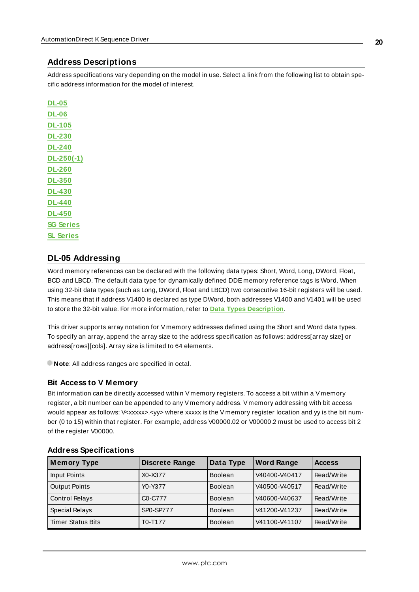## <span id="page-19-0"></span>**Address Descriptions**

Address specifications vary depending on the model in use. Select a link from the following list to obtain specific address information for the model of interest.

**[DL-05](#page-19-1) [DL-06](#page-20-0) [DL-105](#page-21-0) [DL-230](#page-22-0) [DL-240](#page-23-0) [DL-250\(-1\)](#page-24-0) [DL-260](#page-25-0) [DL-350](#page-27-0) [DL-430](#page-28-0) [DL-440](#page-29-0) [DL-450](#page-30-0) SG [Series](#page-31-0) SL [Series](#page-32-0)**

# <span id="page-19-1"></span>**DL-05 Addressing**

Word memory references can be declared with the following data types: Short, Word, Long, DWord, Float, BCD and LBCD. The default data type for dynamically defined DDE memory reference tags is Word. When using 32-bit data types (such as Long, DWord, Float and LBCD) two consecutive 16-bit registers will be used. This means that if address V1400 is declared as type DWord, both addresses V1400 and V1401 will be used to store the 32-bit value. For more information, refer to **Data Types [Description](#page-18-0)**.

This driver supports array notation for V memory addresses defined using the Short and Word data types. To specify an array, append the array size to the address specification as follows: address[array size] or address[rows][cols]. Array size is limited to 64 elements.

**Note**: All address ranges are specified in octal.

### **Bit Access to V Memory**

Bit information can be directly accessed within V memory registers. To access a bit within a V memory register, a bit number can be appended to any V memory address. V memory addressing with bit access would appear as follows: V<xxxxx>.</></>where xxxxx is the V memory register location and yy is the bit number (0 to 15) within that register. For example, address V00000.02 or V00000.2 must be used to access bit 2 of the register V00000.

| <b>Memory Type</b>       | <b>Discrete Range</b> | Data Type      | <b>Word Range</b> | <b>Access</b> |
|--------------------------|-----------------------|----------------|-------------------|---------------|
| Input Points             | X0-X377               | <b>Boolean</b> | V40400-V40417     | Read/Write    |
| <b>Output Points</b>     | Y0-Y377               | <b>Boolean</b> | V40500-V40517     | Read/Write    |
| <b>Control Relays</b>    | C0-C777               | <b>Boolean</b> | V40600-V40637     | Read/Write    |
| Special Relays           | <b>SP0-SP777</b>      | <b>Boolean</b> | V41200-V41237     | Read/Write    |
| <b>Timer Status Bits</b> | T0-T177               | <b>Boolean</b> | V41100-V41107     | Read/Write    |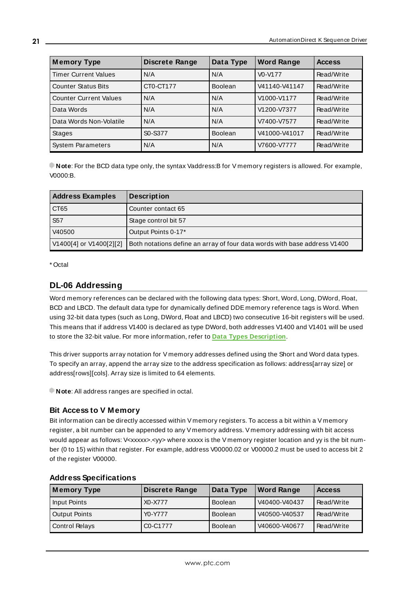| <b>Memory Type</b>            | <b>Discrete Range</b> | Data Type      | <b>Word Range</b> | <b>Access</b> |
|-------------------------------|-----------------------|----------------|-------------------|---------------|
| <b>Timer Current Values</b>   | N/A                   | N/A            | $V0-V177$         | Read/Write    |
| <b>Counter Status Bits</b>    | CT0-CT177             | <b>Boolean</b> | V41140-V41147     | Read/Write    |
| <b>Counter Current Values</b> | N/A                   | N/A            | V1000-V1177       | Read/Write    |
| Data Words                    | N/A                   | N/A            | V1200-V7377       | Read/Write    |
| Data Words Non-Volatile       | N/A                   | N/A            | V7400-V7577       | Read/Write    |
| <b>Stages</b>                 | S0-S377               | <b>Boolean</b> | V41000-V41017     | Read/Write    |
| <b>System Parameters</b>      | N/A                   | N/A            | V7600-V7777       | Read/Write    |

| <b>Address Examples</b> | <b>Description</b>                                                        |
|-------------------------|---------------------------------------------------------------------------|
| CT65                    | Counter contact 65                                                        |
| <b>S57</b>              | Stage control bit 57                                                      |
| V40500                  | Output Points 0-17*                                                       |
| V1400[4] or V1400[2][2] | Both notations define an array of four data words with base address V1400 |

<span id="page-20-0"></span>\* Octal

# **DL-06 Addressing**

Word memory references can be declared with the following data types: Short, Word, Long, DWord, Float, BCD and LBCD. The default data type for dynamically defined DDE memory reference tags is Word. When using 32-bit data types (such as Long, DWord, Float and LBCD) two consecutive 16-bit registers will be used. This means that if address V1400 is declared as type DWord, both addresses V1400 and V1401 will be used to store the 32-bit value. For more information, refer to **Data Types [Description](#page-18-0)**.

This driver supports array notation for V memory addresses defined using the Short and Word data types. To specify an array, append the array size to the address specification as follows: address[array size] or address[rows][cols]. Array size is limited to 64 elements.

**Note:** All address ranges are specified in octal.

### **Bit Access to V Memory**

Bit information can be directly accessed within V memory registers. To access a bit within a V memory register, a bit number can be appended to any V memory address. V memory addressing with bit access would appear as follows: V<xxxxx>.<yy> where xxxxx is the V memory register location and yy is the bit number (0 to 15) within that register. For example, address V00000.02 or V00000.2 must be used to access bit 2 of the register V00000.

| <b>Memory Type</b>    | <b>Discrete Range</b> | Data Type      | <b>Word Range</b> | <b>Access</b> |
|-----------------------|-----------------------|----------------|-------------------|---------------|
| Input Points          | X0-X777               | <b>Boolean</b> | V40400-V40437     | Read/Write    |
| <b>Output Points</b>  | Y0-Y777               | <b>Boolean</b> | V40500-V40537     | Read/Write    |
| <b>Control Relays</b> | C0-C1777              | <b>Boolean</b> | V40600-V40677     | Read/Write    |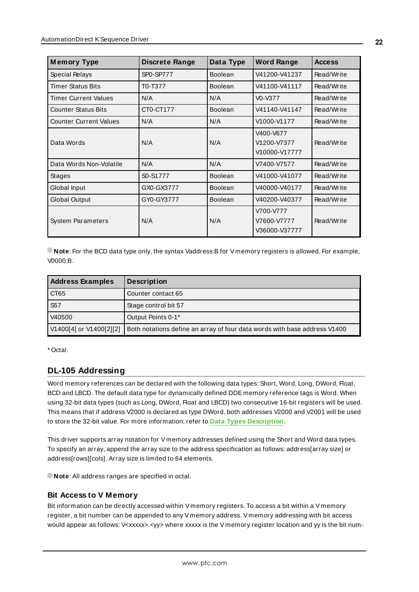| <b>Memory Type</b>            | <b>Discrete Range</b> | Data Type      | <b>Word Range</b>                         | <b>Access</b> |
|-------------------------------|-----------------------|----------------|-------------------------------------------|---------------|
| Special Relays                | SP0-SP777             | <b>Boolean</b> | V41200-V41237                             | Read/Write    |
| <b>Timer Status Bits</b>      | T0-T377               | <b>Boolean</b> | V41100-V41117                             | Read/Write    |
| <b>Timer Current Values</b>   | N/A                   | N/A            | V0-V377                                   | Read/Write    |
| <b>Counter Status Bits</b>    | CT0-CT177             | <b>Boolean</b> | V41140-V41147                             | Read/Write    |
| <b>Counter Current Values</b> | N/A                   | N/A            | V1000-V1177                               | Read/Write    |
| Data Words                    | N/A                   | N/A            | V400-V677<br>V1200-V7377<br>V10000-V17777 | Read/Write    |
| Data Words Non-Volatile       | N/A                   | N/A            | V7400-V7577                               | Read/Write    |
| Stages                        | S0-S1777              | <b>Boolean</b> | V41000-V41077                             | Read/Write    |
| Global Input                  | GX0-GX3777            | <b>Boolean</b> | V40000-V40177                             | Read/Write    |
| <b>Global Output</b>          | GY0-GY3777            | <b>Boolean</b> | V40200-V40377                             | Read/Write    |
| <b>System Parameters</b>      | N/A                   | N/A            | V700-V777<br>V7600-V7777<br>V36000-V37777 | Read/Write    |

| <b>Address Examples</b> | <b>Description</b>                                                        |
|-------------------------|---------------------------------------------------------------------------|
| CT65                    | Counter contact 65                                                        |
| <b>S57</b>              | Stage control bit 57                                                      |
| V40500                  | Output Points 0-1*                                                        |
| V1400[4] or V1400[2][2] | Both notations define an array of four data words with base address V1400 |

<span id="page-21-0"></span>\* Octal.

# **DL-105 Addressing**

Word memory references can be declared with the following data types: Short, Word, Long, DWord, Float, BCD and LBCD. The default data type for dynamically defined DDE memory reference tags is Word. When using 32-bit data types (such as Long, DWord, Float and LBCD) two consecutive 16-bit registers will be used. This means that if address V2000 is declared as type DWord, both addresses V2000 and V2001 will be used to store the 32-bit value. For more information, refer to **Data Types [Description](#page-18-0)**.

This driver supports array notation for V memory addresses defined using the Short and Word data types. To specify an array, append the array size to the address specification as follows: address[array size] or address[rows][cols]. Array size is limited to 64 elements.

**Note**: All address ranges are specified in octal.

# **Bit Access to V Memory**

Bit information can be directly accessed within V memory registers. To access a bit within a V memory register, a bit number can be appended to any V memory address. V memory addressing with bit access would appear as follows: V<xxxxx>.<yy> where xxxxx is the V memory register location and yy is the bit num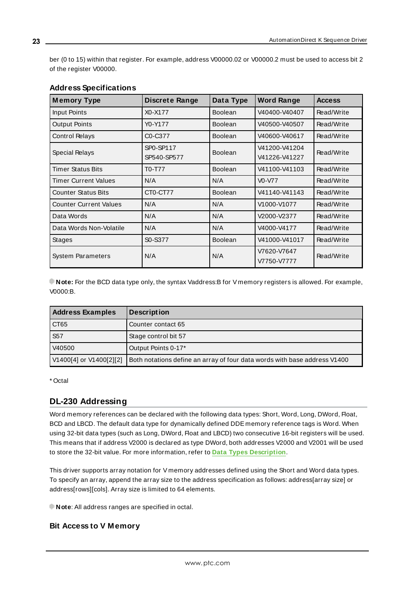ber (0 to 15) within that register. For example, address V00000.02 or V00000.2 must be used to access bit 2 of the register V00000.

| <b>Memory Type</b>            | Discrete Range           | Data Type      | <b>Word Range</b>              | <b>Access</b> |
|-------------------------------|--------------------------|----------------|--------------------------------|---------------|
| Input Points                  | X0-X177                  | <b>Boolean</b> | V40400-V40407                  | Read/Write    |
| <b>Output Points</b>          | Y0-Y177                  | <b>Boolean</b> | V40500-V40507                  | Read/Write    |
| <b>Control Relays</b>         | C0-C377                  | <b>Boolean</b> | V40600-V40617                  | Read/Write    |
| Special Relays                | SP0-SP117<br>SP540-SP577 | <b>Boolean</b> | V41200-V41204<br>V41226-V41227 | Read/Write    |
| <b>Timer Status Bits</b>      | T0-T77                   | <b>Boolean</b> | V41100-V41103                  | Read/Write    |
| <b>Timer Current Values</b>   | N/A                      | N/A            | $V0-V77$                       | Read/Write    |
| <b>Counter Status Bits</b>    | CT0-CT77                 | <b>Boolean</b> | V41140-V41143                  | Read/Write    |
| <b>Counter Current Values</b> | N/A                      | N/A            | V1000-V1077                    | Read/Write    |
| Data Words                    | N/A                      | N/A            | V2000-V2377                    | Read/Write    |
| Data Words Non-Volatile       | N/A                      | N/A            | V4000-V4177                    | Read/Write    |
| <b>Stages</b>                 | S0-S377                  | <b>Boolean</b> | V41000-V41017                  | Read/Write    |
| <b>System Parameters</b>      | N/A                      | N/A            | V7620-V7647<br>V7750-V7777     | Read/Write    |

# **Address Specifications**

**Note:** For the BCD data type only, the syntax Vaddress:B for V memory registers is allowed. For example, V0000:B.

| <b>Address Examples</b> | <b>Description</b>                                                        |
|-------------------------|---------------------------------------------------------------------------|
| CT65                    | Counter contact 65                                                        |
| S <sub>57</sub>         | Stage control bit 57                                                      |
| V40500                  | Output Points 0-17*                                                       |
| V1400[4] or V1400[2][2] | Both notations define an array of four data words with base address V1400 |

<span id="page-22-0"></span>\* Octal

# **DL-230 Addressing**

Word memory references can be declared with the following data types: Short, Word, Long, DWord, Float, BCD and LBCD. The default data type for dynamically defined DDE memory reference tags is Word. When using 32-bit data types (such as Long, DWord, Float and LBCD) two consecutive 16-bit registers will be used. This means that if address V2000 is declared as type DWord, both addresses V2000 and V2001 will be used to store the 32-bit value. For more information, refer to **Data Types [Description](#page-18-0)**.

This driver supports array notation for V memory addresses defined using the Short and Word data types. To specify an array, append the array size to the address specification as follows: address[array size] or address[rows][cols]. Array size is limited to 64 elements.

**Note:** All address ranges are specified in octal.

## **Bit Access to V Memory**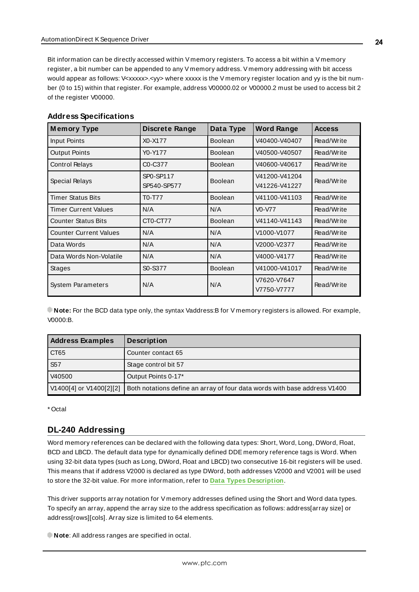Bit information can be directly accessed within V memory registers. To access a bit within a V memory register, a bit number can be appended to any V memory address. V memory addressing with bit access would appear as follows: V<xxxxx>.<yy> where xxxxx is the V memory register location and yy is the bit number (0 to 15) within that register. For example, address V00000.02 or V00000.2 must be used to access bit 2 of the register V00000.

| <b>Memory Type</b>            | <b>Discrete Range</b>    | Data Type      | <b>Word Range</b>              | <b>Access</b> |
|-------------------------------|--------------------------|----------------|--------------------------------|---------------|
| Input Points                  | X0-X177                  | <b>Boolean</b> | V40400-V40407                  | Read/Write    |
| <b>Output Points</b>          | Y0-Y177                  | <b>Boolean</b> | V40500-V40507                  | Read/Write    |
| <b>Control Relays</b>         | C0-C377                  | <b>Boolean</b> | V40600-V40617                  | Read/Write    |
| Special Relays                | SP0-SP117<br>SP540-SP577 | <b>Boolean</b> | V41200-V41204<br>V41226-V41227 | Read/Write    |
| <b>Timer Status Bits</b>      | T0-T77                   | <b>Boolean</b> | V41100-V41103                  | Read/Write    |
| <b>Timer Current Values</b>   | N/A                      | N/A            | $V0-V77$                       | Read/Write    |
| <b>Counter Status Bits</b>    | CT0-CT77                 | <b>Boolean</b> | V41140-V41143                  | Read/Write    |
| <b>Counter Current Values</b> | N/A                      | N/A            | V1000-V1077                    | Read/Write    |
| Data Words                    | N/A                      | N/A            | V2000-V2377                    | Read/Write    |
| Data Words Non-Volatile       | N/A                      | N/A            | V4000-V4177                    | Read/Write    |
| <b>Stages</b>                 | S0-S377                  | <b>Boolean</b> | V41000-V41017                  | Read/Write    |
| <b>System Parameters</b>      | N/A                      | N/A            | V7620-V7647<br>V7750-V7777     | Read/Write    |

## **Address Specifications**

**Note:** For the BCD data type only, the syntax Vaddress:B for V memory registers is allowed. For example, V0000:B.

| <b>Address Examples</b> | <b>Description</b>                                                        |
|-------------------------|---------------------------------------------------------------------------|
| CT65                    | Counter contact 65                                                        |
| S <sub>57</sub>         | Stage control bit 57                                                      |
| V40500                  | Output Points 0-17*                                                       |
| V1400[4] or V1400[2][2] | Both notations define an array of four data words with base address V1400 |

<span id="page-23-0"></span>\* Octal

# **DL-240 Addressing**

Word memory references can be declared with the following data types: Short, Word, Long, DWord, Float, BCD and LBCD. The default data type for dynamically defined DDE memory reference tags is Word. When using 32-bit data types (such as Long, DWord, Float and LBCD) two consecutive 16-bit registers will be used. This means that if address V2000 is declared as type DWord, both addresses V2000 and V2001 will be used to store the 32-bit value. For more information, refer to **Data Types [Description](#page-18-0)**.

This driver supports array notation for V memory addresses defined using the Short and Word data types. To specify an array, append the array size to the address specification as follows: address[array size] or address[rows][cols]. Array size is limited to 64 elements.

**Note**: All address ranges are specified in octal.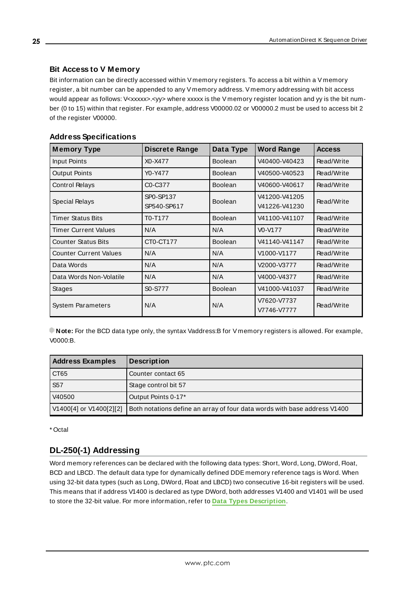# **Bit Access to V Memory**

Bit information can be directly accessed within V memory registers. To access a bit within a V memory register, a bit number can be appended to any V memory address. V memory addressing with bit access would appear as follows: V<xxxxx>.<yy> where xxxxx is the V memory register location and yy is the bit number (0 to 15) within that register. For example, address V00000.02 or V00000.2 must be used to access bit 2 of the register V00000.

# **Address Specifications**

| <b>Memory Type</b>            | <b>Discrete Range</b>    | Data Type      | <b>Word Range</b>              | <b>Access</b> |
|-------------------------------|--------------------------|----------------|--------------------------------|---------------|
| Input Points                  | X0-X477                  | <b>Boolean</b> | V40400-V40423                  | Read/Write    |
| <b>Output Points</b>          | Y0-Y477                  | <b>Boolean</b> | V40500-V40523                  | Read/Write    |
| <b>Control Relays</b>         | C0-C377                  | <b>Boolean</b> | V40600-V40617                  | Read/Write    |
| Special Relays                | SP0-SP137<br>SP540-SP617 | <b>Boolean</b> | V41200-V41205<br>V41226-V41230 | Read/Write    |
| <b>Timer Status Bits</b>      | T0-T177                  | <b>Boolean</b> | V41100-V41107                  | Read/Write    |
| Timer Current Values          | N/A                      | N/A            | V0-V177                        | Read/Write    |
| <b>Counter Status Bits</b>    | CT0-CT177                | <b>Boolean</b> | V41140-V41147                  | Read/Write    |
| <b>Counter Current Values</b> | N/A                      | N/A            | V1000-V1177                    | Read/Write    |
| Data Words                    | N/A                      | N/A            | V2000-V3777                    | Read/Write    |
| Data Words Non-Volatile       | N/A                      | N/A            | V4000-V4377                    | Read/Write    |
| Stages                        | S0-S777                  | <b>Boolean</b> | V41000-V41037                  | Read/Write    |
| <b>System Parameters</b>      | N/A                      | N/A            | V7620-V7737<br>V7746-V7777     | Read/Write    |

**Note:** For the BCD data type only, the syntax Vaddress:B for V memory registers is allowed. For example, V0000:B.

| <b>Address Examples</b> | <b>Description</b>                                                        |
|-------------------------|---------------------------------------------------------------------------|
| CT65                    | Counter contact 65                                                        |
| S <sub>57</sub>         | Stage control bit 57                                                      |
| V40500                  | Output Points 0-17*                                                       |
| V1400[4] or V1400[2][2] | Both notations define an array of four data words with base address V1400 |

<span id="page-24-0"></span>\* Octal

# **DL-250(-1) Addressing**

Word memory references can be declared with the following data types: Short, Word, Long, DWord, Float, BCD and LBCD. The default data type for dynamically defined DDE memory reference tags is Word. When using 32-bit data types (such as Long, DWord, Float and LBCD) two consecutive 16-bit registers will be used. This means that if address V1400 is declared as type DWord, both addresses V1400 and V1401 will be used to store the 32-bit value. For more information, refer to **Data Types [Description](#page-18-0)**.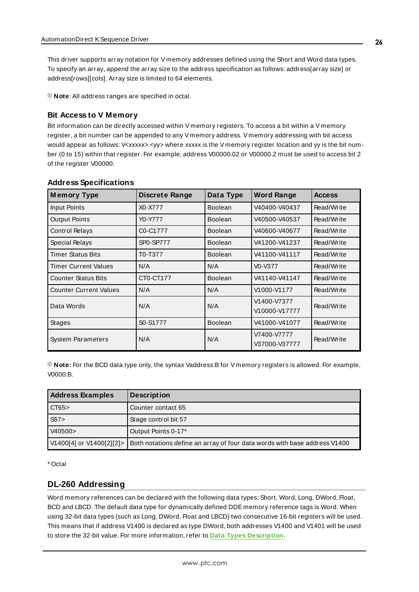This driver supports array notation for V memory addresses defined using the Short and Word data types. To specify an array, append the array size to the address specification as follows: address[array size] or address[rows][cols]. Array size is limited to 64 elements.

**Note**: All address ranges are specified in octal.

# **Bit Access to V Memory**

Bit information can be directly accessed within V memory registers. To access a bit within a V memory register, a bit number can be appended to any V memory address. V memory addressing with bit access would appear as follows: V<xxxxx>.<yy> where xxxxx is the V memory register location and yy is the bit number (0 to 15) within that register. For example, address V00000.02 or V00000.2 must be used to access bit 2 of the register V00000.

| <b>Memory Type</b>            | <b>Discrete Range</b>             | Data Type      | <b>Word Range</b>                | <b>Access</b> |
|-------------------------------|-----------------------------------|----------------|----------------------------------|---------------|
| <b>Input Points</b>           | X0-X777                           | <b>Boolean</b> | V40400-V40437                    | Read/Write    |
| <b>Output Points</b>          | Y0-Y777                           | <b>Boolean</b> | V40500-V40537                    | Read/Write    |
| <b>Control Relays</b>         | C <sub>0</sub> -C <sub>1777</sub> | <b>Boolean</b> | V40600-V40677                    | Read/Write    |
| Special Relays                | SP0-SP777                         | <b>Boolean</b> | V41200-V41237                    | Read/Write    |
| <b>Timer Status Bits</b>      | T0-T377                           | <b>Boolean</b> | V41100-V41117                    | Read/Write    |
| <b>Timer Current Values</b>   | N/A                               | N/A            | V <sub>0</sub> -V <sub>377</sub> | Read/Write    |
| <b>Counter Status Bits</b>    | CT0-CT177                         | <b>Boolean</b> | V41140-V41147                    | Read/Write    |
| <b>Counter Current Values</b> | N/A                               | N/A            | V1000-V1177                      | Read/Write    |
| Data Words                    | N/A                               | N/A            | V1400-V7377<br>V10000-V17777     | Read/Write    |
| Stages                        | S0-S1777                          | <b>Boolean</b> | V41000-V41077                    | Read/Write    |
| <b>System Parameters</b>      | N/A                               | N/A            | V7400-V7777<br>V37000-V37777     | Read/Write    |

### **Address Specifications**

**Note:** For the BCD data type only, the syntax Vaddress:B for V memory registers is allowed. For example, V0000:B.

| <b>Address Examples</b>  | <b>Description</b>                                                        |
|--------------------------|---------------------------------------------------------------------------|
| CT65>                    | Counter contact 65                                                        |
| S57                      | Stage control bit 57                                                      |
| V40500>                  | Output Points 0-17*                                                       |
| V1400[4] or V1400[2][2]> | Both notations define an array of four data words with base address V1400 |

<span id="page-25-0"></span>\* Octal

# **DL-260 Addressing**

Word memory references can be declared with the following data types: Short, Word, Long, DWord, Float, BCD and LBCD. The default data type for dynamically defined DDE memory reference tags is Word. When using 32-bit data types (such as Long, DWord, Float and LBCD) two consecutive 16-bit registers will be used. This means that if address V1400 is declared as type DWord, both addresses V1400 and V1401 will be used to store the 32-bit value. For more information, refer to **Data Types [Description](#page-18-0)**.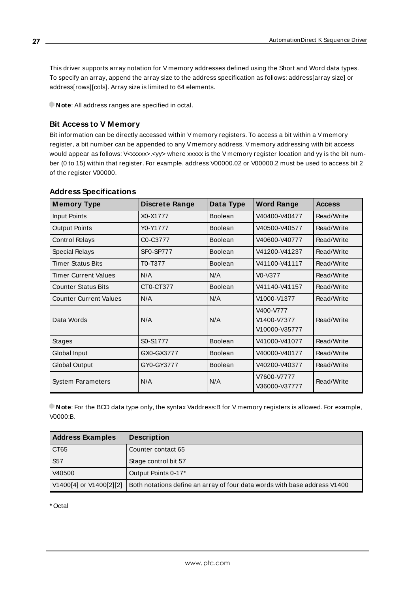This driver supports array notation for V memory addresses defined using the Short and Word data types. To specify an array, append the array size to the address specification as follows: address[array size] or address[rows][cols]. Array size is limited to 64 elements.

**Note:** All address ranges are specified in octal.

# **Bit Access to V Memory**

Bit information can be directly accessed within V memory registers. To access a bit within a V memory register, a bit number can be appended to any V memory address. V memory addressing with bit access would appear as follows: V<xxxxx>.<yy> where xxxxx is the V memory register location and yy is the bit number (0 to 15) within that register. For example, address V00000.02 or V00000.2 must be used to access bit 2 of the register V00000.

| <b>Memory Type</b>            | Discrete Range | Data Type      | <b>Word Range</b>                         | <b>Access</b> |
|-------------------------------|----------------|----------------|-------------------------------------------|---------------|
| Input Points                  | X0-X1777       | <b>Boolean</b> | V40400-V40477                             | Read/Write    |
| <b>Output Points</b>          | Y0-Y1777       | <b>Boolean</b> | V40500-V40577                             | Read/Write    |
| <b>Control Relays</b>         | C0-C3777       | Boolean        | V40600-V40777                             | Read/Write    |
| Special Relays                | SP0-SP777      | <b>Boolean</b> | V41200-V41237                             | Read/Write    |
| <b>Timer Status Bits</b>      | T0-T377        | Boolean        | V41100-V41117                             | Read/Write    |
| <b>Timer Current Values</b>   | N/A            | N/A            | V0-V377                                   | Read/Write    |
| <b>Counter Status Bits</b>    | CT0-CT377      | <b>Boolean</b> | V41140-V41157                             | Read/Write    |
| <b>Counter Current Values</b> | N/A            | N/A            | V1000-V1377                               | Read/Write    |
| Data Words                    | N/A            | N/A            | V400-V777<br>V1400-V7377<br>V10000-V35777 | Read/Write    |
| <b>Stages</b>                 | S0-S1777       | <b>Boolean</b> | V41000-V41077                             | Read/Write    |
| Global Input                  | GX0-GX3777     | <b>Boolean</b> | V40000-V40177                             | Read/Write    |
| <b>Global Output</b>          | GY0-GY3777     | Boolean        | V40200-V40377                             | Read/Write    |
| <b>System Parameters</b>      | N/A            | N/A            | V7600-V7777<br>V36000-V37777              | Read/Write    |

## **Address Specifications**

**Note**: For the BCD data type only, the syntax Vaddress:B for V memory registers is allowed. For example, V0000:B.

| <b>Address Examples</b> | <b>Description</b>                                                        |
|-------------------------|---------------------------------------------------------------------------|
| CT65                    | Counter contact 65                                                        |
| S <sub>57</sub>         | Stage control bit 57                                                      |
| V40500                  | Output Points 0-17*                                                       |
| V1400[4] or V1400[2][2] | Both notations define an array of four data words with base address V1400 |

\* Octal

**27**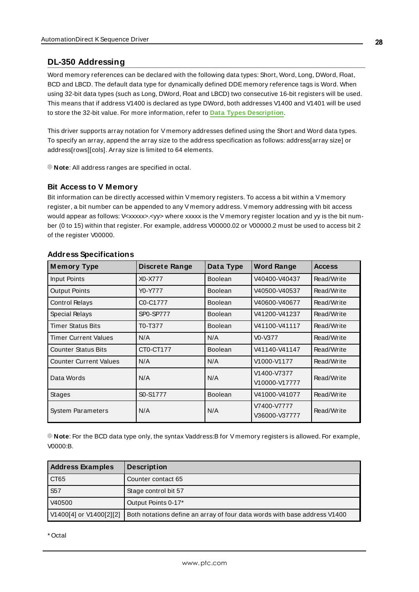# <span id="page-27-0"></span>**DL-350 Addressing**

Word memory references can be declared with the following data types: Short, Word, Long, DWord, Float, BCD and LBCD. The default data type for dynamically defined DDE memory reference tags is Word. When using 32-bit data types (such as Long, DWord, Float and LBCD) two consecutive 16-bit registers will be used. This means that if address V1400 is declared as type DWord, both addresses V1400 and V1401 will be used to store the 32-bit value. For more information, refer to **Data Types [Description](#page-18-0)**.

This driver supports array notation for V memory addresses defined using the Short and Word data types. To specify an array, append the array size to the address specification as follows: address[array size] or address[rows][cols]. Array size is limited to 64 elements.

**Note:** All address ranges are specified in octal.

## **Bit Access to V Memory**

Bit information can be directly accessed within V memory registers. To access a bit within a V memory register, a bit number can be appended to any V memory address. V memory addressing with bit access would appear as follows: V<xxxxx>.<yy> where xxxxx is the V memory register location and yy is the bit number (0 to 15) within that register. For example, address V00000.02 or V00000.2 must be used to access bit 2 of the register V00000.

| <b>Memory Type</b>            | <b>Discrete Range</b>             | Data Type      | <b>Word Range</b>            | <b>Access</b> |
|-------------------------------|-----------------------------------|----------------|------------------------------|---------------|
| <b>Input Points</b>           | X0-X777                           | <b>Boolean</b> | V40400-V40437                | Read/Write    |
| <b>Output Points</b>          | Y0-Y777                           | <b>Boolean</b> | V40500-V40537                | Read/Write    |
| <b>Control Relays</b>         | C <sub>0</sub> -C <sub>1777</sub> | <b>Boolean</b> | V40600-V40677                | Read/Write    |
| Special Relays                | <b>SP0-SP777</b>                  | <b>Boolean</b> | V41200-V41237                | Read/Write    |
| <b>Timer Status Bits</b>      | T0-T377                           | <b>Boolean</b> | V41100-V41117                | Read/Write    |
| <b>Timer Current Values</b>   | N/A                               | N/A            | V0-V377                      | Read/Write    |
| <b>Counter Status Bits</b>    | CT0-CT177                         | <b>Boolean</b> | V41140-V41147                | Read/Write    |
| <b>Counter Current Values</b> | N/A                               | N/A            | V1000-V1177                  | Read/Write    |
| Data Words                    | N/A                               | N/A            | V1400-V7377<br>V10000-V17777 | Read/Write    |
| <b>Stages</b>                 | S0-S1777                          | Boolean        | V41000-V41077                | Read/Write    |
| <b>System Parameters</b>      | N/A                               | N/A            | V7400-V7777<br>V36000-V37777 | Read/Write    |

## **Address Specifications**

**Note**: For the BCD data type only, the syntax Vaddress:B for V memory registers is allowed. For example, V0000:B.

| <b>Address Examples</b> | <b>Description</b>                                                        |
|-------------------------|---------------------------------------------------------------------------|
| CT65                    | Counter contact 65                                                        |
| S <sub>57</sub>         | Stage control bit 57                                                      |
| V40500                  | Output Points 0-17*                                                       |
| V1400[4] or V1400[2][2] | Both notations define an array of four data words with base address V1400 |

\* Octal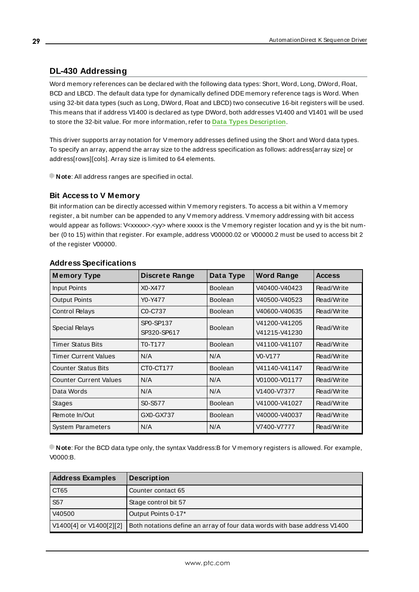# <span id="page-28-0"></span>**DL-430 Addressing**

Word memory references can be declared with the following data types: Short, Word, Long, DWord, Float, BCD and LBCD. The default data type for dynamically defined DDE memory reference tags is Word. When using 32-bit data types (such as Long, DWord, Float and LBCD) two consecutive 16-bit registers will be used. This means that if address V1400 is declared as type DWord, both addresses V1400 and V1401 will be used to store the 32-bit value. For more information, refer to **Data Types [Description](#page-18-0)**.

This driver supports array notation for V memory addresses defined using the Short and Word data types. To specify an array, append the array size to the address specification as follows: address[array size] or address[rows][cols]. Array size is limited to 64 elements.

**Note**: All address ranges are specified in octal.

## **Bit Access to V Memory**

Bit information can be directly accessed within V memory registers. To access a bit within a V memory register, a bit number can be appended to any V memory address. V memory addressing with bit access would appear as follows: V<xxxxx>.<yy> where xxxxx is the V memory register location and yy is the bit number (0 to 15) within that register. For example, address V00000.02 or V00000.2 must be used to access bit 2 of the register V00000.

| <b>Memory Type</b>            | Discrete Range                   | Data Type      | <b>Word Range</b>                | <b>Access</b> |
|-------------------------------|----------------------------------|----------------|----------------------------------|---------------|
| Input Points                  | X0-X477                          | Boolean        | V40400-V40423                    | Read/Write    |
| <b>Output Points</b>          | Y0-Y477                          | Boolean        | V40500-V40523                    | Read/Write    |
| <b>Control Relays</b>         | C <sub>0</sub> -C <sub>737</sub> | <b>Boolean</b> | V40600-V40635                    | Read/Write    |
| Special Relays                | SP0-SP137<br>SP320-SP617         | <b>Boolean</b> | V41200-V41205<br>V41215-V41230   | Read/Write    |
| <b>Timer Status Bits</b>      | T0-T177                          | <b>Boolean</b> | V41100-V41107                    | Read/Write    |
| <b>Timer Current Values</b>   | N/A                              | N/A            | V <sub>0</sub> -V <sub>177</sub> | Read/Write    |
| <b>Counter Status Bits</b>    | CT0-CT177                        | <b>Boolean</b> | V41140-V41147                    | Read/Write    |
| <b>Counter Current Values</b> | N/A                              | N/A            | V01000-V01177                    | Read/Write    |
| Data Words                    | N/A                              | N/A            | V1400-V7377                      | Read/Write    |
| Stages                        | S0-S577                          | Boolean        | V41000-V41027                    | Read/Write    |
| Remote In/Out                 | GX0-GX737                        | <b>Boolean</b> | V40000-V40037                    | Read/Write    |
| <b>System Parameters</b>      | N/A                              | N/A            | V7400-V7777                      | Read/Write    |

### **Address Specifications**

**Note**: For the BCD data type only, the syntax Vaddress:B for V memory registers is allowed. For example, V0000:B.

| <b>Address Examples</b> | <b>Description</b>                                                        |
|-------------------------|---------------------------------------------------------------------------|
| CT65                    | Counter contact 65                                                        |
| S <sub>57</sub>         | Stage control bit 57                                                      |
| V40500                  | Output Points 0-17*                                                       |
| V1400[4] or V1400[2][2] | Both notations define an array of four data words with base address V1400 |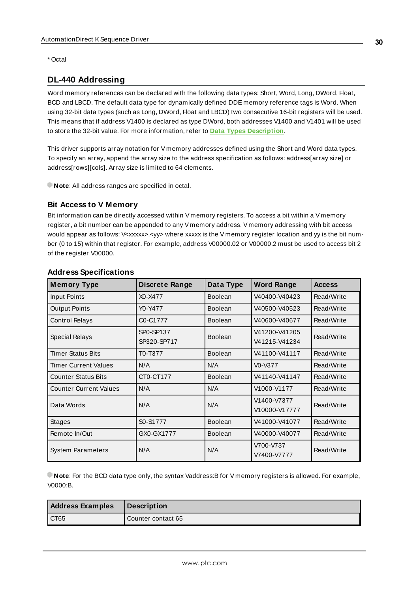<span id="page-29-0"></span>\* Octal

# **DL-440 Addressing**

Word memory references can be declared with the following data types: Short, Word, Long, DWord, Float, BCD and LBCD. The default data type for dynamically defined DDE memory reference tags is Word. When using 32-bit data types (such as Long, DWord, Float and LBCD) two consecutive 16-bit registers will be used. This means that if address V1400 is declared as type DWord, both addresses V1400 and V1401 will be used to store the 32-bit value. For more information, refer to **Data Types [Description](#page-18-0)**.

This driver supports array notation for V memory addresses defined using the Short and Word data types. To specify an array, append the array size to the address specification as follows: address[array size] or address[rows][cols]. Array size is limited to 64 elements.

**Note**: All address ranges are specified in octal.

### **Bit Access to V Memory**

Bit information can be directly accessed within V memory registers. To access a bit within a V memory register, a bit number can be appended to any V memory address. V memory addressing with bit access would appear as follows: V<xxxxx>.<yy> where xxxxx is the V memory register location and yy is the bit number (0 to 15) within that register. For example, address V00000.02 or V00000.2 must be used to access bit 2 of the register V00000.

| <b>Memory Type</b>            | <b>Discrete Range</b>    | Data Type      | <b>Word Range</b>              | <b>Access</b> |
|-------------------------------|--------------------------|----------------|--------------------------------|---------------|
| Input Points                  | X0-X477                  | Boolean        | V40400-V40423                  | Read/Write    |
| <b>Output Points</b>          | Y0-Y477                  | <b>Boolean</b> | V40500-V40523                  | Read/Write    |
| <b>Control Relays</b>         | C0-C1777                 | <b>Boolean</b> | V40600-V40677                  | Read/Write    |
| Special Relays                | SP0-SP137<br>SP320-SP717 | Boolean        | V41200-V41205<br>V41215-V41234 | Read/Write    |
| <b>Timer Status Bits</b>      | T0-T377                  | <b>Boolean</b> | V41100-V41117                  | Read/Write    |
| <b>Timer Current Values</b>   | N/A                      | N/A            | V0-V377                        | Read/Write    |
| <b>Counter Status Bits</b>    | CT0-CT177                | <b>Boolean</b> | V41140-V41147                  | Read/Write    |
| <b>Counter Current Values</b> | N/A                      | N/A            | V1000-V1177                    | Read/Write    |
| Data Words                    | N/A                      | N/A            | V1400-V7377<br>V10000-V17777   | Read/Write    |
| <b>Stages</b>                 | S0-S1777                 | Boolean        | V41000-V41077                  | Read/Write    |
| Remote In/Out                 | GX0-GX1777               | <b>Boolean</b> | V40000-V40077                  | Read/Write    |
| <b>System Parameters</b>      | N/A                      | N/A            | V700-V737<br>V7400-V7777       | Read/Write    |

# **Address Specifications**

**Note**: For the BCD data type only, the syntax Vaddress:B for V memory registers is allowed. For example, V0000:B.

| <b>Address Examples</b> | Description        |
|-------------------------|--------------------|
| I CT65                  | Counter contact 65 |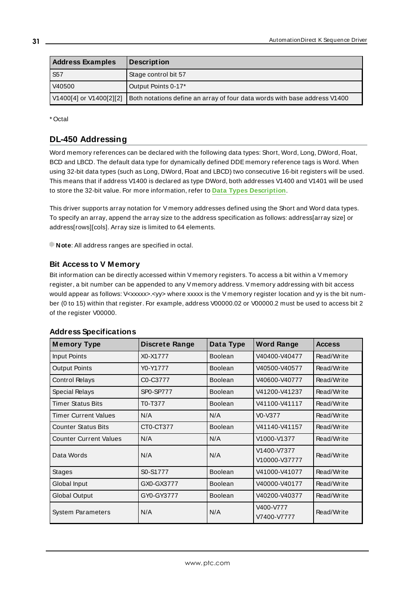| <b>Address Examples</b> | <b>Description</b>                                                        |
|-------------------------|---------------------------------------------------------------------------|
| <b>S57</b>              | Stage control bit 57                                                      |
| V40500                  | Output Points 0-17*                                                       |
| V1400[4] or V1400[2][2] | Both notations define an array of four data words with base address V1400 |

<span id="page-30-0"></span>\* Octal

# **DL-450 Addressing**

Word memory references can be declared with the following data types: Short, Word, Long, DWord, Float, BCD and LBCD. The default data type for dynamically defined DDE memory reference tags is Word. When using 32-bit data types (such as Long, DWord, Float and LBCD) two consecutive 16-bit registers will be used. This means that if address V1400 is declared as type DWord, both addresses V1400 and V1401 will be used to store the 32-bit value. For more information, refer to **Data Types [Description](#page-18-0)**.

This driver supports array notation for V memory addresses defined using the Short and Word data types. To specify an array, append the array size to the address specification as follows: address[array size] or address[rows][cols]. Array size is limited to 64 elements.

**Note**: All address ranges are specified in octal.

# **Bit Access to V Memory**

Bit information can be directly accessed within V memory registers. To access a bit within a V memory register, a bit number can be appended to any V memory address. V memory addressing with bit access would appear as follows: V<xxxxx>.<yy> where xxxxx is the V memory register location and yy is the bit number (0 to 15) within that register. For example, address V00000.02 or V00000.2 must be used to access bit 2 of the register V00000.

| <b>Memory Type</b>            | <b>Discrete Range</b> | Data Type      | <b>Word Range</b>            | <b>Access</b> |
|-------------------------------|-----------------------|----------------|------------------------------|---------------|
| Input Points                  | X0-X1777              | <b>Boolean</b> | V40400-V40477                | Read/Write    |
| <b>Output Points</b>          | Y0-Y1777              | <b>Boolean</b> | V40500-V40577                | Read/Write    |
| <b>Control Relays</b>         | C0-C3777              | <b>Boolean</b> | V40600-V40777                | Read/Write    |
| Special Relays                | <b>SP0-SP777</b>      | <b>Boolean</b> | V41200-V41237                | Read/Write    |
| <b>Timer Status Bits</b>      | T0-T377               | <b>Boolean</b> | V41100-V41117                | Read/Write    |
| <b>Timer Current Values</b>   | N/A                   | N/A            | V0-V377                      | Read/Write    |
| <b>Counter Status Bits</b>    | CT0-CT377             | Boolean        | V41140-V41157                | Read/Write    |
| <b>Counter Current Values</b> | N/A                   | N/A            | V1000-V1377                  | Read/Write    |
| Data Words                    | N/A                   | N/A            | V1400-V7377<br>V10000-V37777 | Read/Write    |
| <b>Stages</b>                 | S0-S1777              | <b>Boolean</b> | V41000-V41077                | Read/Write    |
| Global Input                  | GX0-GX3777            | <b>Boolean</b> | V40000-V40177                | Read/Write    |
| <b>Global Output</b>          | GY0-GY3777            | <b>Boolean</b> | V40200-V40377                | Read/Write    |
| <b>System Parameters</b>      | N/A                   | N/A            | V400-V777<br>V7400-V7777     | Read/Write    |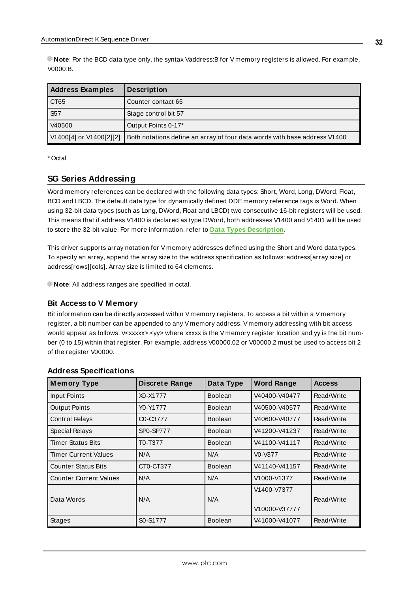| <b>Address Examples</b> | <b>Description</b>                                                        |
|-------------------------|---------------------------------------------------------------------------|
| CT65                    | Counter contact 65                                                        |
| <b>S57</b>              | Stage control bit 57                                                      |
| V40500                  | Output Points 0-17*                                                       |
| V1400[4] or V1400[2][2] | Both notations define an array of four data words with base address V1400 |

<span id="page-31-0"></span>\* Octal

### **SG Series Addressing**

Word memory references can be declared with the following data types: Short, Word, Long, DWord, Float, BCD and LBCD. The default data type for dynamically defined DDE memory reference tags is Word. When using 32-bit data types (such as Long, DWord, Float and LBCD) two consecutive 16-bit registers will be used. This means that if address V1400 is declared as type DWord, both addresses V1400 and V1401 will be used to store the 32-bit value. For more information, refer to **Data Types [Description](#page-18-0)**.

This driver supports array notation for V memory addresses defined using the Short and Word data types. To specify an array, append the array size to the address specification as follows: address[array size] or address[rows][cols]. Array size is limited to 64 elements.

**Note:** All address ranges are specified in octal.

### **Bit Access to V Memory**

Bit information can be directly accessed within V memory registers. To access a bit within a V memory register, a bit number can be appended to any V memory address. V memory addressing with bit access would appear as follows: V<xxxxx>.<yy> where xxxxx is the V memory register location and yy is the bit number (0 to 15) within that register. For example, address V00000.02 or V00000.2 must be used to access bit 2 of the register V00000.

| <b>Memory Type</b>            | <b>Discrete Range</b> | Data Type      | <b>Word Range</b>            | <b>Access</b> |
|-------------------------------|-----------------------|----------------|------------------------------|---------------|
| Input Points                  | X0-X1777              | <b>Boolean</b> | V40400-V40477                | Read/Write    |
| <b>Output Points</b>          | Y0-Y1777              | <b>Boolean</b> | V40500-V40577                | Read/Write    |
| <b>Control Relays</b>         | C0-C3777              | <b>Boolean</b> | V40600-V40777                | Read/Write    |
| Special Relays                | <b>SP0-SP777</b>      | <b>Boolean</b> | V41200-V41237                | Read/Write    |
| <b>Timer Status Bits</b>      | T0-T377               | <b>Boolean</b> | V41100-V41117                | Read/Write    |
| <b>Timer Current Values</b>   | N/A                   | N/A            | V0-V377                      | Read/Write    |
| <b>Counter Status Bits</b>    | CT0-CT377             | <b>Boolean</b> | V41140-V41157                | Read/Write    |
| <b>Counter Current Values</b> | N/A                   | N/A            | V1000-V1377                  | Read/Write    |
| Data Words                    | N/A                   | N/A            | V1400-V7377<br>V10000-V37777 | Read/Write    |
| <b>Stages</b>                 | S0-S1777              | <b>Boolean</b> | V41000-V41077                | Read/Write    |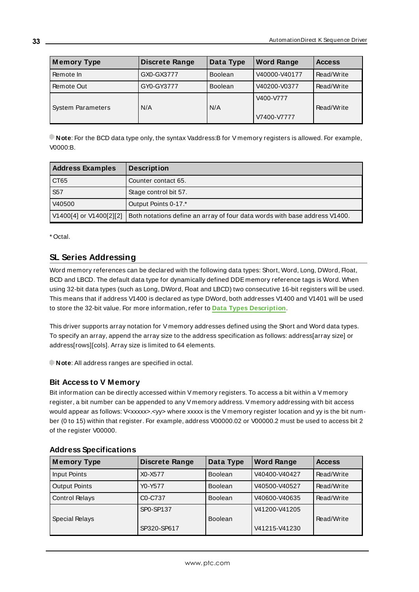| <b>Memory Type</b>       | <b>Discrete Range</b> | Data Type      | <b>Word Range</b>        | <b>Access</b> |
|--------------------------|-----------------------|----------------|--------------------------|---------------|
| Remote In                | GX0-GX3777            | <b>Boolean</b> | V40000-V40177            | Read/Write    |
| Remote Out               | GY0-GY3777            | <b>Boolean</b> | V40200-V0377             | Read/Write    |
| <b>System Parameters</b> | N/A                   | N/A            | V400-V777<br>V7400-V7777 | Read/Write    |

| <b>Address Examples</b> | <b>Description</b>                                                         |
|-------------------------|----------------------------------------------------------------------------|
| CT65                    | Counter contact 65.                                                        |
| S <sub>57</sub>         | Stage control bit 57.                                                      |
| V40500                  | Output Points 0-17.*                                                       |
| V1400[4] or V1400[2][2] | Both notations define an array of four data words with base address V1400. |

<span id="page-32-0"></span>\* Octal.

# **SL Series Addressing**

Word memory references can be declared with the following data types: Short, Word, Long, DWord, Float, BCD and LBCD. The default data type for dynamically defined DDE memory reference tags is Word. When using 32-bit data types (such as Long, DWord, Float and LBCD) two consecutive 16-bit registers will be used. This means that if address V1400 is declared as type DWord, both addresses V1400 and V1401 will be used to store the 32-bit value. For more information, refer to **Data Types [Description](#page-18-0)**.

This driver supports array notation for V memory addresses defined using the Short and Word data types. To specify an array, append the array size to the address specification as follows: address[array size] or address[rows][cols]. Array size is limited to 64 elements.

**Note:** All address ranges are specified in octal.

# **Bit Access to V Memory**

Bit information can be directly accessed within V memory registers. To access a bit within a V memory register, a bit number can be appended to any V memory address. V memory addressing with bit access would appear as follows: V<xxxxx>.<yy> where xxxxx is the V memory register location and yy is the bit number (0 to 15) within that register. For example, address V00000.02 or V00000.2 must be used to access bit 2 of the register V00000.

| <b>Memory Type</b>    | <b>Discrete Range</b>            | Data Type      | <b>Word Range</b> | <b>Access</b> |
|-----------------------|----------------------------------|----------------|-------------------|---------------|
| Input Points          | X0-X577                          | <b>Boolean</b> | V40400-V40427     | Read/Write    |
| <b>Output Points</b>  | Y0-Y577                          | <b>Boolean</b> | V40500-V40527     | Read/Write    |
| <b>Control Relays</b> | C <sub>0</sub> -C <sub>737</sub> | <b>Boolean</b> | V40600-V40635     | Read/Write    |
|                       | SP0-SP137                        |                | V41200-V41205     |               |
| Special Relays        |                                  | <b>Boolean</b> |                   | Read/Write    |
|                       | SP320-SP617                      |                | V41215-V41230     |               |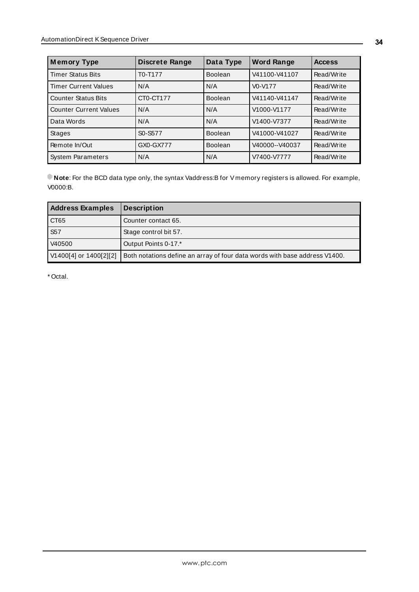| <b>Memory Type</b>            | <b>Discrete Range</b> | Data Type      | <b>Word Range</b> | <b>Access</b> |
|-------------------------------|-----------------------|----------------|-------------------|---------------|
| <b>Timer Status Bits</b>      | T0-T177               | <b>Boolean</b> | V41100-V41107     | Read/Write    |
| <b>Timer Current Values</b>   | N/A                   | N/A            | $V0-V177$         | Read/Write    |
| <b>Counter Status Bits</b>    | CT0-CT177             | <b>Boolean</b> | V41140-V41147     | Read/Write    |
| <b>Counter Current Values</b> | N/A                   | N/A            | V1000-V1177       | Read/Write    |
| Data Words                    | N/A                   | N/A            | V1400-V7377       | Read/Write    |
| <b>Stages</b>                 | S0-S577               | Boolean        | V41000-V41027     | Read/Write    |
| Remote In/Out                 | GX0-GX777             | <b>Boolean</b> | V40000--V40037    | Read/Write    |
| <b>System Parameters</b>      | N/A                   | N/A            | V7400-V7777       | Read/Write    |

| <b>Address Examples</b> | <b>Description</b>                                                         |
|-------------------------|----------------------------------------------------------------------------|
| CT65                    | Counter contact 65.                                                        |
| <b>S57</b>              | Stage control bit 57.                                                      |
| V40500                  | Output Points 0-17.*                                                       |
| V1400[4] or 1400[2][2]  | Both notations define an array of four data words with base address V1400. |

\* Octal.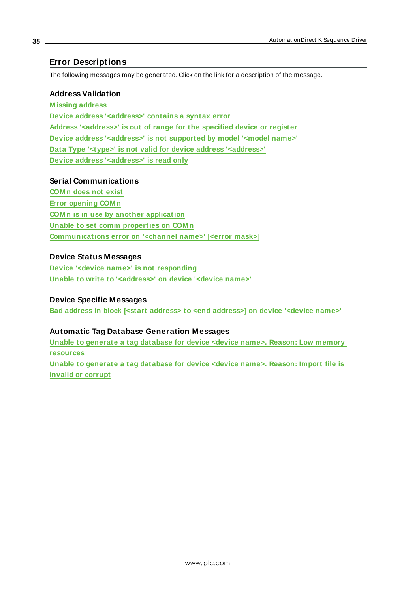# <span id="page-34-0"></span>**Error Descriptions**

The following messages may be generated. Click on the link for a description of the message.

## **Address Validation**

**[M issing](#page-35-0) address Device address ['<address>'](#page-35-1) contains a syntax error Address ['<address>'](#page-35-2) is out of range for the specified device or register Device address ['<address>'](#page-35-3) is not supported by model '<model name>' Data Type '<type>' is not valid for device address ['<address>'](#page-35-4) Device address ['<address>'](#page-36-0) is read only**

## **Serial Communications**

**[COM n](#page-36-1) does not exist Error [opening](#page-36-2) COM n COM n is in use by another [application](#page-36-3) Unable to set comm [properties](#page-37-0) on COM n [Communications](#page-37-1) error on '<channel name>' [<error mask>]**

# **Device Status Messages**

**Device '<device name>' is not [responding](#page-37-2) Unable to write to ['<address>'](#page-38-0) on device '<device name>'**

## **Device Specific Messages**

**Bad address in block [<start address> to <end [address>\]](#page-38-1) on device '<device name>'**

### **Automatic Tag Database Generation Messages**

**Unable to [generate](#page-38-2) a tag database for device <device name>. Reason: Low memory [resources](#page-38-2)**

**Unable to [generate](#page-39-0) a tag database for device <device name>. Reason: Import file is invalid or [corrupt](#page-39-0)**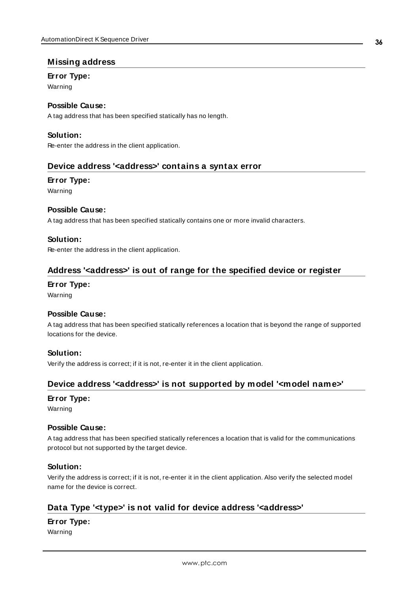# <span id="page-35-0"></span>**Missing address**

## **Error Type:**

Warning

# **Possible Cause:**

A tag address that has been specified statically has no length.

# **Solution:**

<span id="page-35-1"></span>Re-enter the address in the client application.

## **Device address '<address>' contains a syntax error**

### **Error Type:**

Warning

### **Possible Cause:**

A tag address that has been specified statically contains one or more invalid characters.

## **Solution:**

<span id="page-35-2"></span>Re-enter the address in the client application.

# **Address '<address>' is out of range for the specified device or register**

#### **Error Type:**

Warning

### **Possible Cause:**

A tag address that has been specified statically references a location that is beyond the range of supported locations for the device.

### **Solution:**

<span id="page-35-3"></span>Verify the address is correct; if it is not, re-enter it in the client application.

# **Device address '<address>' is not supported by model '<model name>'**

#### **Error Type:**

Warning

### **Possible Cause:**

A tag address that has been specified statically references a location that is valid for the communications protocol but not supported by the target device.

### **Solution:**

Verify the address is correct; if it is not, re-enter it in the client application. Also verify the selected model name for the device is correct.

# <span id="page-35-4"></span>**Data Type '<type>' is not valid for device address '<address>'**

# **Error Type:**

Warning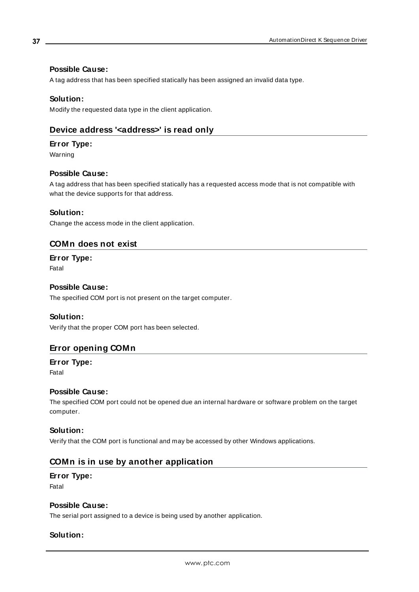# **Possible Cause:**

A tag address that has been specified statically has been assigned an invalid data type.

### **Solution:**

<span id="page-36-0"></span>Modify the requested data type in the client application.

# **Device address '<address>' is read only**

#### **Error Type:**

Warning

## **Possible Cause:**

A tag address that has been specified statically has a requested access mode that is not compatible with what the device supports for that address.

## **Solution:**

<span id="page-36-1"></span>Change the access mode in the client application.

## **COMn does not exist**

#### **Error Type:** Fatal

## **Possible Cause:**

The specified COM port is not present on the target computer.

#### **Solution:**

<span id="page-36-2"></span>Verify that the proper COM port has been selected.

# **Error opening COMn**

**Error Type:** Fatal

### **Possible Cause:**

The specified COM port could not be opened due an internal hardware or software problem on the target computer.

#### **Solution:**

<span id="page-36-3"></span>Verify that the COM port is functional and may be accessed by other Windows applications.

# **COMn is in use by another application**

#### **Error Type:**

Fatal

#### **Possible Cause:**

The serial port assigned to a device is being used by another application.

# **Solution:**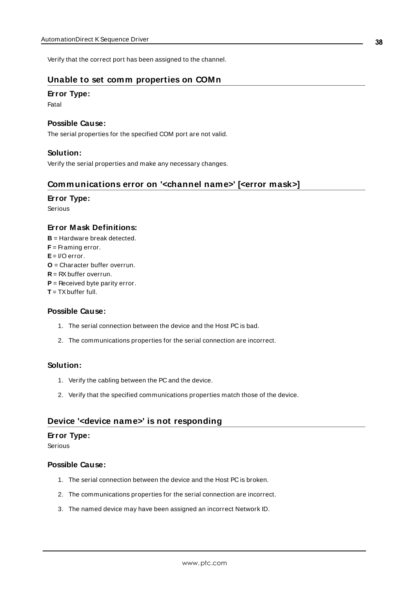<span id="page-37-0"></span>Verify that the correct port has been assigned to the channel.

# **Unable to set comm properties on COMn**

### **Error Type:**

Fatal

#### **Possible Cause:**

The serial properties for the specified COM port are not valid.

### **Solution:**

<span id="page-37-1"></span>Verify the serial properties and make any necessary changes.

# **Communications error on '<channel name>' [<error mask>]**

#### **Error Type:**

Serious

# **Error Mask Definitions:**

- <span id="page-37-3"></span>**B** = Hardware break detected.
- **F** = Framing error.
- <span id="page-37-4"></span>**E**= I/O error.
- **O** = Character buffer overrun.
- <span id="page-37-5"></span>**R** = RXbuffer overrun.
- **P** = Received byte parity error.
- **T** = TXbuffer full.

### **Possible Cause:**

- 1. The serial connection between the device and the Host PC is bad.
- 2. The communications properties for the serial connection are incorrect.

### **Solution:**

- 1. Verify the cabling between the PC and the device.
- 2. Verify that the specified communications properties match those of the device.

# <span id="page-37-2"></span>**Device '<device name>' is not responding**

# **Error Type:**

Serious

# **Possible Cause:**

- 1. The serial connection between the device and the Host PC is broken.
- 2. The communications properties for the serial connection are incorrect.
- 3. The named device may have been assigned an incorrect Network ID.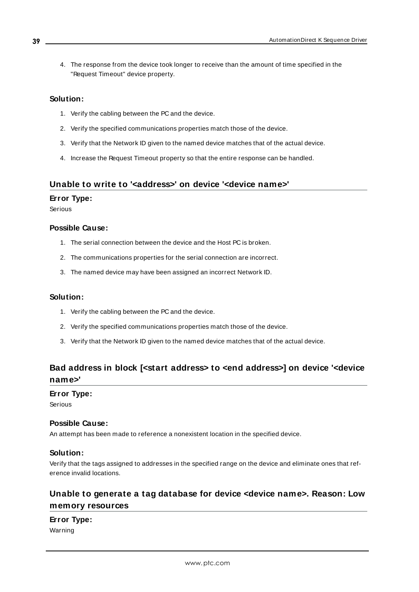4. The response from the device took longer to receive than the amount of time specified in the "Request Timeout" device property.

#### **Solution:**

- 1. Verify the cabling between the PC and the device.
- 2. Verify the specified communications properties match those of the device.
- 3. Verify that the Network ID given to the named device matches that of the actual device.
- 4. Increase the Request Timeout property so that the entire response can be handled.

# <span id="page-38-0"></span>**Unable to write to '<address>' on device '<device name>'**

#### **Error Type:**

Serious

## **Possible Cause:**

- 1. The serial connection between the device and the Host PC is broken.
- 2. The communications properties for the serial connection are incorrect.
- 3. The named device may have been assigned an incorrect Network ID.

### **Solution:**

- 1. Verify the cabling between the PC and the device.
- 2. Verify the specified communications properties match those of the device.
- 3. Verify that the Network ID given to the named device matches that of the actual device.

# <span id="page-38-1"></span>**Bad address in block [<start address> to <end address>] on device '<device name>'**

#### **Error Type:**

Serious

## **Possible Cause:**

An attempt has been made to reference a nonexistent location in the specified device.

### **Solution:**

Verify that the tags assigned to addresses in the specified range on the device and eliminate ones that reference invalid locations.

# <span id="page-38-2"></span>**Unable to generate a tag database for device <device name>. Reason: Low memory resources**

### **Error Type:**

Warning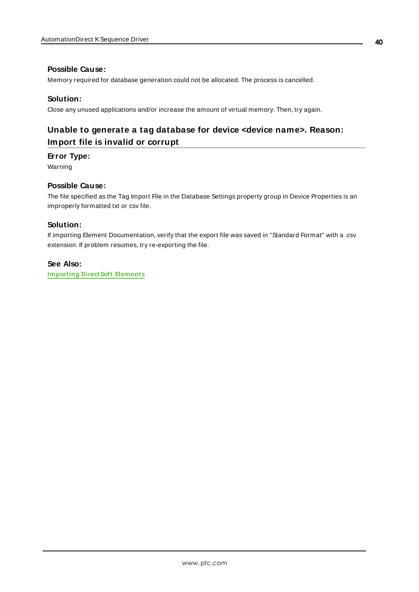## **Possible Cause:**

Memory required for database generation could not be allocated. The process is cancelled.

#### **Solution:**

<span id="page-39-0"></span>Close any unused applications and/or increase the amount of virtual memory. Then, try again.

# **Unable to generate a tag database for device <device name>. Reason: Import file is invalid or corrupt**

## **Error Type:**

Warning

#### **Possible Cause:**

The file specified as the Tag Import File in the Database Settings property group in Device Properties is an improperly formatted txt or csv file.

## **Solution:**

If importing Element Documentation, verify that the export file was saved in "Standard Format" with a .csv extension. If problem resumes, try re-exporting the file.

### **See Also:**

**[Importing](#page-40-1) DirectSoft Elements**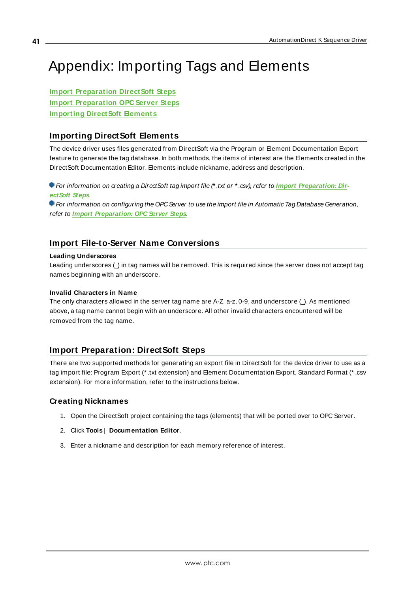# <span id="page-40-0"></span>Appendix: Importing Tags and Elements

**Import [Preparation](#page-40-3) DirectSoft Steps Import [Preparation](#page-43-0) OPC Server Steps [Importing](#page-40-1) Direct Soft Elements** 

# <span id="page-40-1"></span>**Importing DirectSoft Elements**

The device driver uses files generated from DirectSoft via the Program or Element Documentation Export feature to generate the tag database. In both methods, the items of interest are the Elements created in the DirectSoft Documentation Editor. Elements include nickname, address and description.

For information on creating a DirectSoft tag import file (\* .txt or \* .csv), refer to **Import [Preparation:](#page-40-3) Dir[ectSoft](#page-40-3) Steps**.

For information on configuring the OPCServer to use the import file in Automatic Tag Database Generation, refer to **Import [Preparation:](#page-43-0) OPC Server Steps**.

# <span id="page-40-2"></span>**Import File-to-Server Name Conversions**

#### **Leading Underscores**

Leading underscores ( $\Box$ ) in tag names will be removed. This is required since the server does not accept tag names beginning with an underscore.

#### **Invalid Characters in Name**

The only characters allowed in the server tag name are A-Z, a-z, 0-9, and underscore  $($   $)$ . As mentioned above, a tag name cannot begin with an underscore. All other invalid characters encountered will be removed from the tag name.

# <span id="page-40-3"></span>**Import Preparation: DirectSoft Steps**

There are two supported methods for generating an export file in DirectSoft for the device driver to use as a tag import file: Program Export (\* .txt extension) and Element Documentation Export, Standard Format (\* .csv extension). For more information, refer to the instructions below.

# **Creating Nicknames**

- 1. Open the DirectSoft project containing the tags (elements) that will be ported over to OPC Server.
- 2. Click **Tools** | **Documentation Editor**.
- 3. Enter a nickname and description for each memory reference of interest.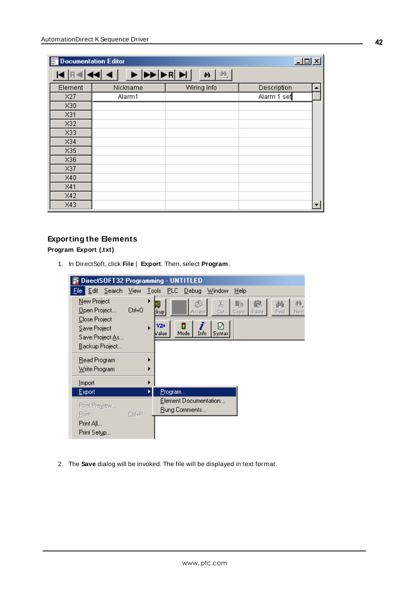| 邯<br>Documentation Editor |          |             | $L = 1$     |  |
|---------------------------|----------|-------------|-------------|--|
|                           | ▶▶▶▶R    | 魄<br>d4     |             |  |
| Element                   | Nickname | Wiring Info | Description |  |
| X27                       | Alarm1   |             | Alarm 1 set |  |
| X30                       |          |             |             |  |
| X31                       |          |             |             |  |
| X32                       |          |             |             |  |
| X33                       |          |             |             |  |
| X34                       |          |             |             |  |
| X35                       |          |             |             |  |
| X36                       |          |             |             |  |
| X37                       |          |             |             |  |
| X40                       |          |             |             |  |
| X41                       |          |             |             |  |
| X42                       |          |             |             |  |
| X43                       |          |             |             |  |

# **Exporting the Elements**

**Program Export (.txt)**

1. In DirectSoft, click **File** | **Export**. Then, select **Program**.



2. The **Save** dialog will be invoked. The file will be displayed in text format.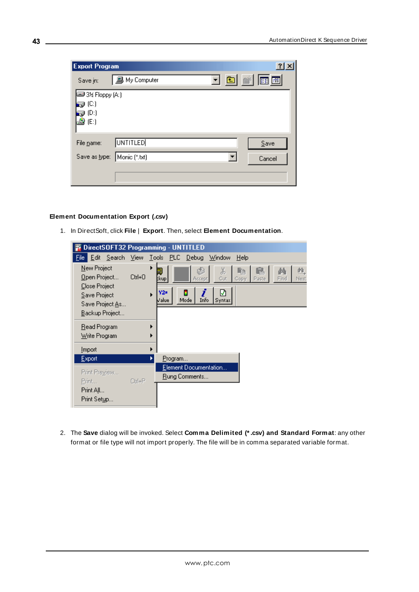| <b>Export Program</b>       |                 |   | ? X    |  |
|-----------------------------|-----------------|---|--------|--|
| Save in:                    | 鳳 My Computer   |   | 可回函画画  |  |
| 3½ Floppy (A:)              |                 |   |        |  |
| @ (C:)<br>ම (D:)            |                 |   |        |  |
| $\triangleq$ (E:)           |                 |   |        |  |
|                             |                 |   |        |  |
| File name:                  | <b>UNTITLED</b> |   | Save   |  |
| Save as type: Monic (*.txt) |                 | ۰ | Cancel |  |
|                             |                 |   |        |  |
|                             |                 |   |        |  |

### **Element Documentation Export (.csv)**

1. In DirectSoft, click **File** | **Export**. Then, select **Element Documentation**.

| DirectSOFT32 Programming - UNTITLED                                                               |                  |                                                                                                                                         |  |
|---------------------------------------------------------------------------------------------------|------------------|-----------------------------------------------------------------------------------------------------------------------------------------|--|
| <u>E</u> dit <u>S</u> earch <u>V</u> iew <u>T</u> ools PLC  <br>File:                             |                  | $He$ lp<br>Debug<br>Window                                                                                                              |  |
| New Project<br>Open Project<br>Close Project<br>Save Project<br>Save Project As<br>Backup Project | ٠<br>Ctrl+0<br>▶ | X,<br>醢<br>ľb<br>Ŀ<br>Cut<br>Find<br>Next<br>Accept<br>Copy<br>:kup <br>Paste<br>മ<br>Y2#<br>Ĩ<br>н<br>Info<br>Mode<br>Value.<br>Syntax |  |
| <u>R</u> ead Program<br>Write Program                                                             | Þ                |                                                                                                                                         |  |
| <b>Import</b>                                                                                     |                  |                                                                                                                                         |  |
| <u>E</u> xport                                                                                    |                  | Program                                                                                                                                 |  |
| Print Preview<br>Print<br>Print All<br>Print Setup                                                | $C$ trl+ $P$     | Element Documentation<br><u>R</u> ung Comments                                                                                          |  |

2. The **Save** dialog will be invoked. Select **Comma Delimited (\* .csv) and Standard Format**: any other format or file type will not import properly. The file will be in comma separated variable format.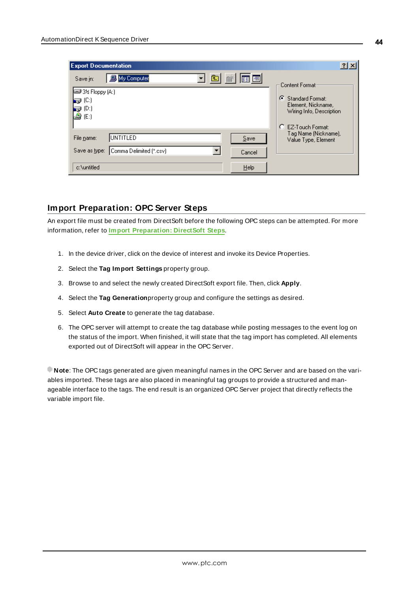| <b>Export Documentation</b>                                                                                         | $ ?  \times$                                                                                                                                                     |
|---------------------------------------------------------------------------------------------------------------------|------------------------------------------------------------------------------------------------------------------------------------------------------------------|
| 圖<br>圃圃<br>My Computer<br>Save in:<br>liiii 3½ Floppy (A:)<br>9 (C)<br>$\bigoplus$ (D:)<br>$\triangleq$ (E:)        | Content Format:<br>G.<br>Standard Format:<br>Element, Nickname,<br>Wiring Info, Description<br>C EZ-Touch Format:<br>Tag Name (Nickname),<br>Value Type, Element |
| <b>JUNTITLED</b><br>File name:<br>Save<br>Comma Delimited (*.csv)<br>Save as type:<br>Cancel<br>Help<br>c:\untitled |                                                                                                                                                                  |

# <span id="page-43-0"></span>**Import Preparation: OPC Server Steps**

An export file must be created from DirectSoft before the following OPC steps can be attempted. For more information, refer to **Import [Preparation:](#page-40-3) DirectSoft Steps**.

- 1. In the device driver, click on the device of interest and invoke its Device Properties.
- 2. Select the **Tag Import Settings** property group.
- 3. Browse to and select the newly created DirectSoft export file. Then, click **Apply**.
- 4. Select the **Tag Generation**property group and configure the settings as desired.
- 5. Select **Auto Create** to generate the tag database.
- 6. The OPC server will attempt to create the tag database while posting messages to the event log on the status of the import. When finished, it will state that the tag import has completed. All elements exported out of DirectSoft will appear in the OPC Server.

**Note**: The OPC tags generated are given meaningful names in the OPC Server and are based on the variables imported. These tags are also placed in meaningful tag groups to provide a structured and manageable interface to the tags. The end result is an organized OPC Server project that directly reflects the variable import file.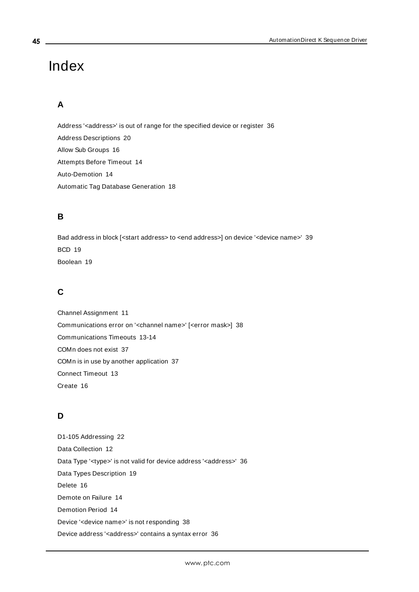# <span id="page-44-0"></span>Index

# **A**

Address '<address>' is out of range for the specified device or register [36](#page-35-2) Address Descriptions [20](#page-19-0) Allow Sub Groups [16](#page-15-0) Attempts Before Timeout [14](#page-13-1) Auto-Demotion [14](#page-13-0) Automatic Tag Database Generation [18](#page-17-0)

# **B**

Bad address in block [<start address> to <end address>] on device '<device name>' [39](#page-38-1) BCD [19](#page-18-1) Boolean [19](#page-18-2)

# **C**

Channel Assignment [11](#page-10-1) Communications error on '<channel name>' [<error mask>] [38](#page-37-1) Communications Timeouts [13-14](#page-12-1) COMn does not exist [37](#page-36-1) COMn is in use by another application [37](#page-36-3) Connect Timeout [13](#page-12-2) Create [16](#page-15-1)

# **D**

D1-105 Addressing [22](#page-21-0) Data Collection [12](#page-11-2) Data Type '<type>' is not valid for device address '<address>' [36](#page-35-4) Data Types Description [19](#page-18-0) Delete [16](#page-15-2) Demote on Failure [14](#page-13-2) Demotion Period [14](#page-13-3) Device '<device name>' is not responding [38](#page-37-2) Device address '< address>' contains a syntax error [36](#page-35-1)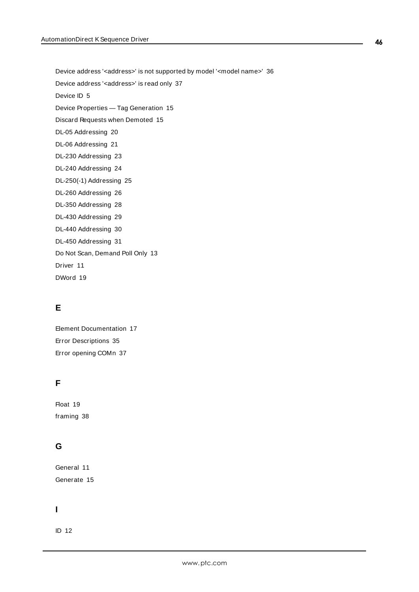Device address '<address>' is not supported by model '<model name>' [36](#page-35-3)

Device address '< address>' is read only [37](#page-36-0)

Device ID [5](#page-4-1)

Device Properties — Tag Generation [15](#page-14-0)

Discard Requests when Demoted [15](#page-14-1)

DL-05 Addressing [20](#page-19-1)

- DL-06 Addressing [21](#page-20-0)
- DL-230 Addressing [23](#page-22-0)
- DL-240 Addressing [24](#page-23-0)
- DL-250(-1) Addressing [25](#page-24-0)
- DL-260 Addressing [26](#page-25-0)
- DL-350 Addressing [28](#page-27-0)
- DL-430 Addressing [29](#page-28-0)
- DL-440 Addressing [30](#page-29-0)
- DL-450 Addressing [31](#page-30-0)

Do Not Scan, Demand Poll Only [13](#page-12-3)

Driver [11](#page-10-2)

DWord [19](#page-18-3)

# **E**

Element Documentation [17](#page-16-2) Error Descriptions [35](#page-34-0) Error opening COMn [37](#page-36-2)

# **F**

Float [19](#page-18-4) framing [38](#page-37-3)

# **G**

General [11](#page-10-0) Generate [15](#page-14-2)

# **I**

ID [12](#page-11-3)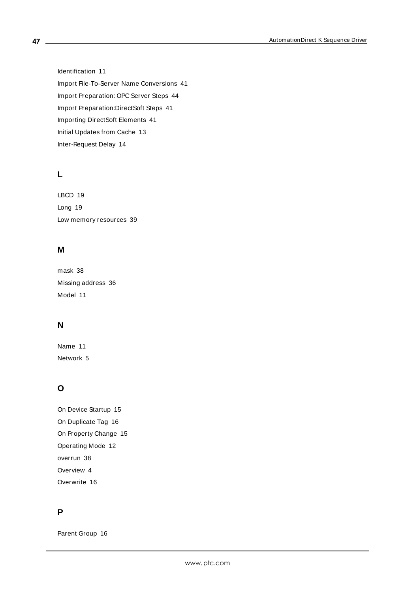Identification [11](#page-10-0) Import File-To-Server Name Conversions [41](#page-40-0) Import Preparation: OPC Server Steps [44](#page-43-0) Import Preparation:DirectSoft Steps [41](#page-40-3) Importing DirectSoft Elements [41](#page-40-1) Initial Updates from Cache [13](#page-12-4) Inter-Request Delay [14](#page-13-4)

# **L**

LBCD [19](#page-18-5) Long [19](#page-18-6) Low memory resources [39](#page-38-2)

# **M**

mask [38](#page-37-1) Missing address [36](#page-35-0) Model [11](#page-10-3)

# **N**

Name [11](#page-10-4) Network [5](#page-4-2)

# **O**

On Device Startup [15](#page-14-3) On Duplicate Tag [16](#page-15-3) On Property Change [15](#page-14-4) Operating Mode [12](#page-11-0) overrun [38](#page-37-4) Overview [4](#page-3-1) Overwrite [16](#page-15-4)

# **P**

Parent Group [16](#page-15-5)